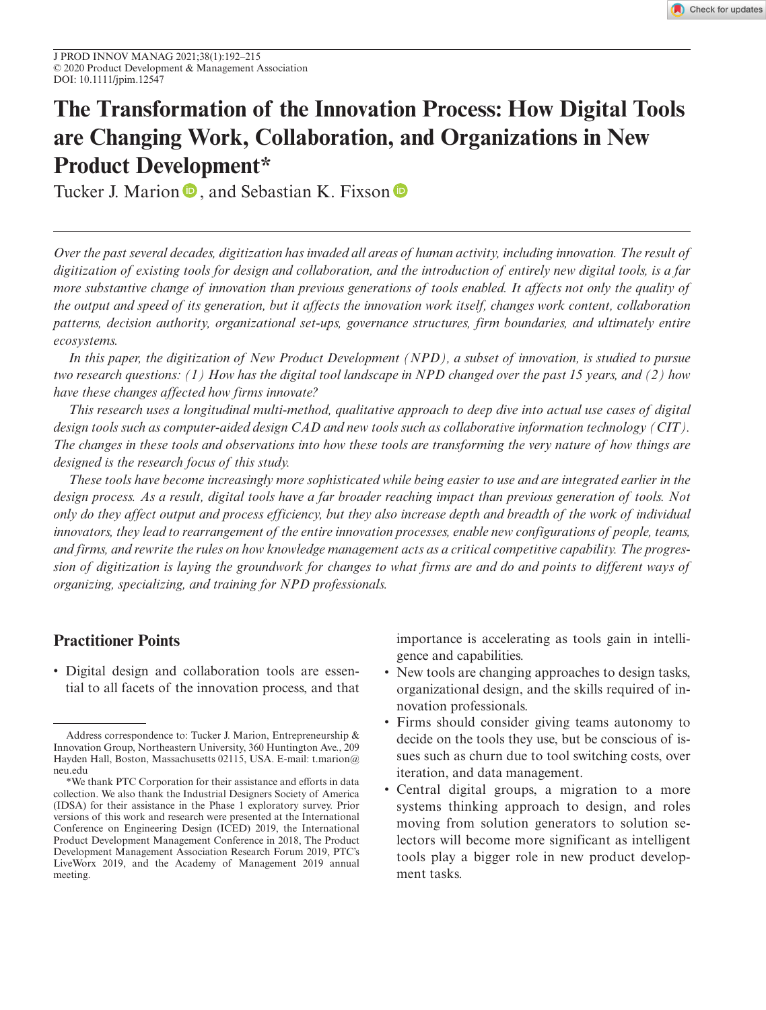# **The Transformation of the Innovation Process: How Digital Tools are Changing Work, Collaboration, and Organizations in New Product Development\***

Tucker J. Marion  $\bullet$ [,](https://orcid.org/0000-0002-1238-430X) and Sebastian K. Fixson  $\bullet$ 

*Over the past several decades, digitization has invaded all areas of human activity, including innovation. The result of digitization of existing tools for design and collaboration, and the introduction of entirely new digital tools, is a far more substantive change of innovation than previous generations of tools enabled. It affects not only the quality of the output and speed of its generation, but it affects the innovation work itself, changes work content, collaboration patterns, decision authority, organizational set-ups, governance structures, firm boundaries, and ultimately entire ecosystems.*

*In this paper, the digitization of New Product Development (NPD), a subset of innovation, is studied to pursue two research questions: (1) How has the digital tool landscape in NPD changed over the past 15 years, and (2) how have these changes affected how firms innovate?*

*This research uses a longitudinal multi-method, qualitative approach to deep dive into actual use cases of digital design tools such as computer-aided design CAD and new tools such as collaborative information technology (CIT). The changes in these tools and observations into how these tools are transforming the very nature of how things are designed is the research focus of this study.*

*These tools have become increasingly more sophisticated while being easier to use and are integrated earlier in the design process. As a result, digital tools have a far broader reaching impact than previous generation of tools. Not only do they affect output and process efficiency, but they also increase depth and breadth of the work of individual innovators, they lead to rearrangement of the entire innovation processes, enable new configurations of people, teams, and firms, and rewrite the rules on how knowledge management acts as a critical competitive capability. The progression of digitization is laying the groundwork for changes to what firms are and do and points to different ways of organizing, specializing, and training for NPD professionals.*

# **Practitioner Points**

• Digital design and collaboration tools are essential to all facets of the innovation process, and that importance is accelerating as tools gain in intelligence and capabilities.

- New tools are changing approaches to design tasks, organizational design, and the skills required of innovation professionals.
- Firms should consider giving teams autonomy to decide on the tools they use, but be conscious of issues such as churn due to tool switching costs, over iteration, and data management.
- Central digital groups, a migration to a more systems thinking approach to design, and roles moving from solution generators to solution selectors will become more significant as intelligent tools play a bigger role in new product development tasks.

Address correspondence to: Tucker J. Marion, Entrepreneurship & Innovation Group, Northeastern University, 360 Huntington Ave., 209 Hayden Hall, Boston, Massachusetts 02115, USA. E-mail: [t.marion@](mailto:t.marion@neu.edu) [neu.edu](mailto:t.marion@neu.edu)

<sup>\*</sup>We thank PTC Corporation for their assistance and efforts in data collection. We also thank the Industrial Designers Society of America (IDSA) for their assistance in the Phase 1 exploratory survey. Prior versions of this work and research were presented at the International Conference on Engineering Design (ICED) 2019, the International Product Development Management Conference in 2018, The Product Development Management Association Research Forum 2019, PTC's LiveWorx 2019, and the Academy of Management 2019 annual meeting.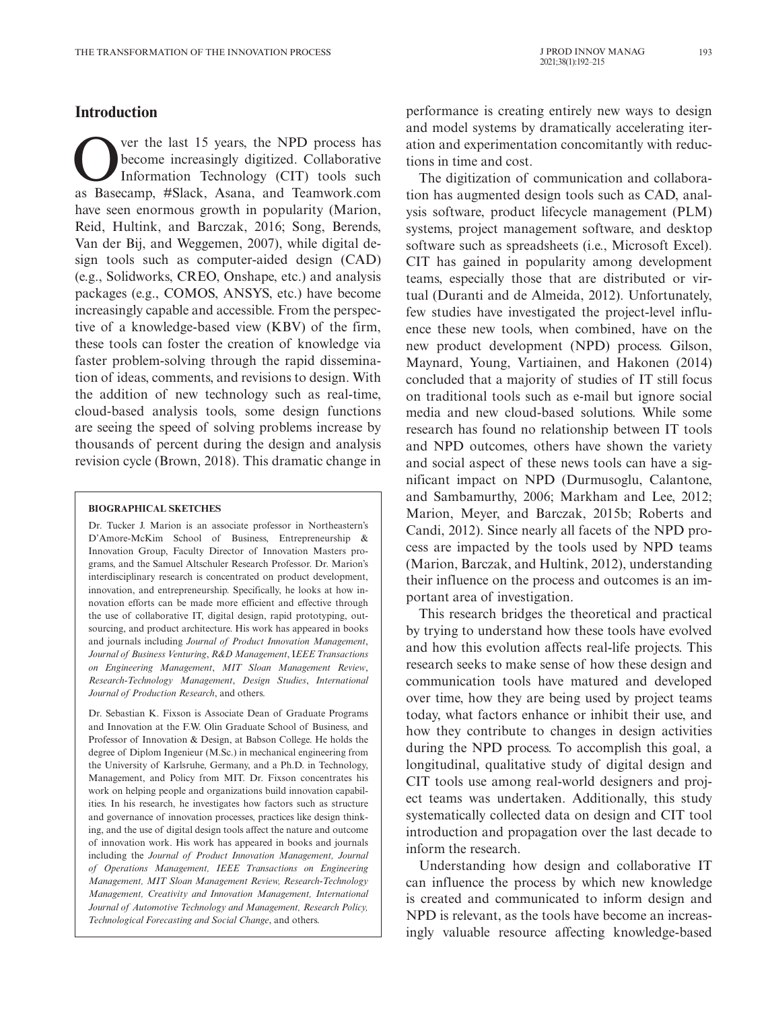# **Introduction**

**OVERTUGE 15 years, the NPD process has become increasingly digitized.** Collaborative Information Technology (CIT) tools such become increasingly digitized. Collaborative as Basecamp, #Slack, Asana, and Teamwork.com have seen enormous growth in popularity (Marion, Reid, Hultink, and Barczak, 2016; Song, Berends, Van der Bij, and Weggemen, 2007), while digital design tools such as computer-aided design (CAD) (e.g., Solidworks, CREO, Onshape, etc.) and analysis packages (e.g., COMOS, ANSYS, etc.) have become increasingly capable and accessible. From the perspective of a knowledge-based view (KBV) of the firm, these tools can foster the creation of knowledge via faster problem-solving through the rapid dissemination of ideas, comments, and revisions to design. With the addition of new technology such as real-time, cloud-based analysis tools, some design functions are seeing the speed of solving problems increase by thousands of percent during the design and analysis revision cycle (Brown, 2018). This dramatic change in

#### **BIOGRAPHICAL SKETCHES**

Dr. Tucker J. Marion is an associate professor in Northeastern's D'Amore-McKim School of Business, Entrepreneurship & Innovation Group, Faculty Director of Innovation Masters programs, and the Samuel Altschuler Research Professor. Dr. Marion's interdisciplinary research is concentrated on product development, innovation, and entrepreneurship. Specifically, he looks at how innovation efforts can be made more efficient and effective through the use of collaborative IT, digital design, rapid prototyping, outsourcing, and product architecture. His work has appeared in books and journals including *Journal of Product Innovation Management*, *Journal of Business Venturing*, *R&D Management*, I*EEE Transactions on Engineering Management*, *MIT Sloan Management Review*, *Research-Technology Management*, *Design Studies*, *International Journal of Production Research*, and others.

Dr. Sebastian K. Fixson is Associate Dean of Graduate Programs and Innovation at the F.W. Olin Graduate School of Business, and Professor of Innovation & Design, at Babson College. He holds the degree of Diplom Ingenieur (M.Sc.) in mechanical engineering from the University of Karlsruhe, Germany, and a Ph.D. in Technology, Management, and Policy from MIT. Dr. Fixson concentrates his work on helping people and organizations build innovation capabilities. In his research, he investigates how factors such as structure and governance of innovation processes, practices like design thinking, and the use of digital design tools affect the nature and outcome of innovation work. His work has appeared in books and journals including the *Journal of Product Innovation Management, Journal of Operations Management, IEEE Transactions on Engineering Management, MIT Sloan Management Review, Research-Technology Management, Creativity and Innovation Management, International Journal of Automotive Technology and Management, Research Policy, Technological Forecasting and Social Change*, and others.

performance is creating entirely new ways to design and model systems by dramatically accelerating iteration and experimentation concomitantly with reductions in time and cost.

The digitization of communication and collaboration has augmented design tools such as CAD, analysis software, product lifecycle management (PLM) systems, project management software, and desktop software such as spreadsheets (i.e., Microsoft Excel). CIT has gained in popularity among development teams, especially those that are distributed or virtual (Duranti and de Almeida, 2012). Unfortunately, few studies have investigated the project-level influence these new tools, when combined, have on the new product development (NPD) process. Gilson, Maynard, Young, Vartiainen, and Hakonen (2014) concluded that a majority of studies of IT still focus on traditional tools such as e-mail but ignore social media and new cloud-based solutions. While some research has found no relationship between IT tools and NPD outcomes, others have shown the variety and social aspect of these news tools can have a significant impact on NPD (Durmusoglu, Calantone, and Sambamurthy, 2006; Markham and Lee, 2012; Marion, Meyer, and Barczak, 2015b; Roberts and Candi, 2012). Since nearly all facets of the NPD process are impacted by the tools used by NPD teams (Marion, Barczak, and Hultink, 2012), understanding their influence on the process and outcomes is an important area of investigation.

This research bridges the theoretical and practical by trying to understand how these tools have evolved and how this evolution affects real-life projects. This research seeks to make sense of how these design and communication tools have matured and developed over time, how they are being used by project teams today, what factors enhance or inhibit their use, and how they contribute to changes in design activities during the NPD process. To accomplish this goal, a longitudinal, qualitative study of digital design and CIT tools use among real-world designers and project teams was undertaken. Additionally, this study systematically collected data on design and CIT tool introduction and propagation over the last decade to inform the research.

Understanding how design and collaborative IT can influence the process by which new knowledge is created and communicated to inform design and NPD is relevant, as the tools have become an increasingly valuable resource affecting knowledge-based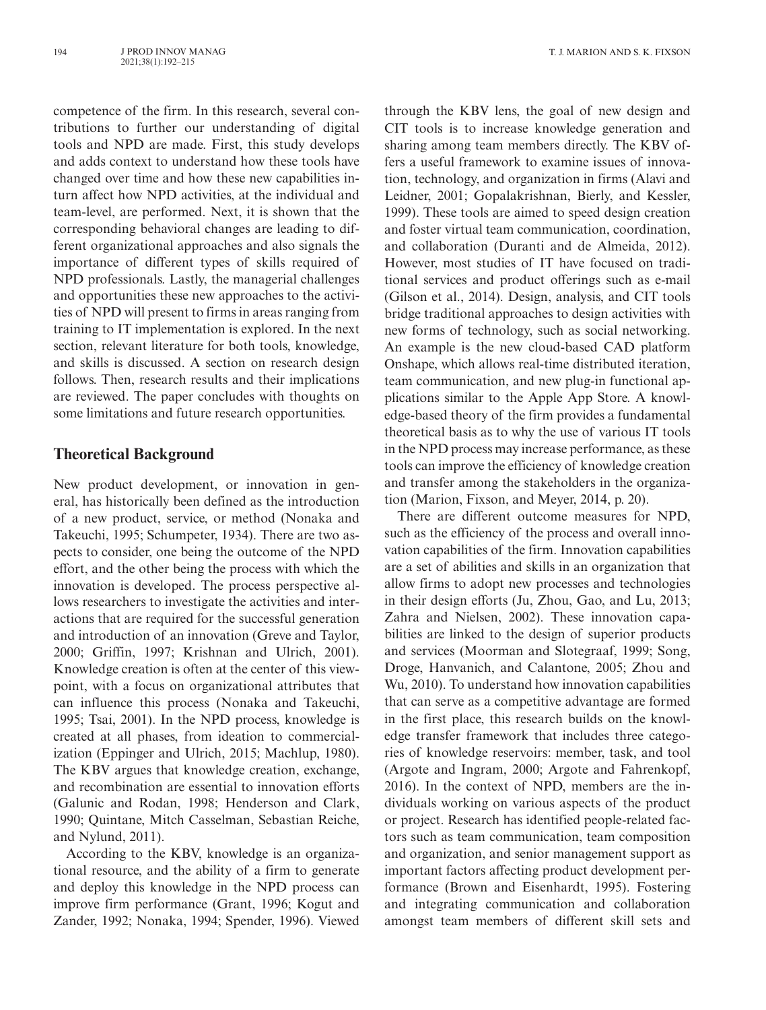competence of the firm. In this research, several contributions to further our understanding of digital tools and NPD are made. First, this study develops and adds context to understand how these tools have changed over time and how these new capabilities inturn affect how NPD activities, at the individual and team-level, are performed. Next, it is shown that the corresponding behavioral changes are leading to different organizational approaches and also signals the importance of different types of skills required of NPD professionals. Lastly, the managerial challenges and opportunities these new approaches to the activities of NPD will present to firms in areas ranging from training to IT implementation is explored. In the next section, relevant literature for both tools, knowledge, and skills is discussed. A section on research design follows. Then, research results and their implications are reviewed. The paper concludes with thoughts on some limitations and future research opportunities.

# **Theoretical Background**

New product development, or innovation in general, has historically been defined as the introduction of a new product, service, or method (Nonaka and Takeuchi, 1995; Schumpeter, 1934). There are two aspects to consider, one being the outcome of the NPD effort, and the other being the process with which the innovation is developed. The process perspective allows researchers to investigate the activities and interactions that are required for the successful generation and introduction of an innovation (Greve and Taylor, 2000; Griffin, 1997; Krishnan and Ulrich, 2001). Knowledge creation is often at the center of this viewpoint, with a focus on organizational attributes that can influence this process (Nonaka and Takeuchi, 1995; Tsai, 2001). In the NPD process, knowledge is created at all phases, from ideation to commercialization (Eppinger and Ulrich, 2015; Machlup, 1980). The KBV argues that knowledge creation, exchange, and recombination are essential to innovation efforts (Galunic and Rodan, 1998; Henderson and Clark, 1990; Quintane, Mitch Casselman, Sebastian Reiche, and Nylund, 2011).

According to the KBV, knowledge is an organizational resource, and the ability of a firm to generate and deploy this knowledge in the NPD process can improve firm performance (Grant, 1996; Kogut and Zander, 1992; Nonaka, 1994; Spender, 1996). Viewed

through the KBV lens, the goal of new design and CIT tools is to increase knowledge generation and sharing among team members directly. The KBV offers a useful framework to examine issues of innovation, technology, and organization in firms (Alavi and Leidner, 2001; Gopalakrishnan, Bierly, and Kessler, 1999). These tools are aimed to speed design creation and foster virtual team communication, coordination, and collaboration (Duranti and de Almeida, 2012). However, most studies of IT have focused on traditional services and product offerings such as e-mail (Gilson et al., 2014). Design, analysis, and CIT tools bridge traditional approaches to design activities with new forms of technology, such as social networking. An example is the new cloud-based CAD platform Onshape, which allows real-time distributed iteration, team communication, and new plug-in functional applications similar to the Apple App Store. A knowledge-based theory of the firm provides a fundamental theoretical basis as to why the use of various IT tools in the NPD process may increase performance, as these tools can improve the efficiency of knowledge creation and transfer among the stakeholders in the organization (Marion, Fixson, and Meyer, 2014, p. 20).

There are different outcome measures for NPD, such as the efficiency of the process and overall innovation capabilities of the firm. Innovation capabilities are a set of abilities and skills in an organization that allow firms to adopt new processes and technologies in their design efforts (Ju, Zhou, Gao, and Lu, 2013; Zahra and Nielsen, 2002). These innovation capabilities are linked to the design of superior products and services (Moorman and Slotegraaf, 1999; Song, Droge, Hanvanich, and Calantone, 2005; Zhou and Wu, 2010). To understand how innovation capabilities that can serve as a competitive advantage are formed in the first place, this research builds on the knowledge transfer framework that includes three categories of knowledge reservoirs: member, task, and tool (Argote and Ingram, 2000; Argote and Fahrenkopf, 2016). In the context of NPD, members are the individuals working on various aspects of the product or project. Research has identified people-related factors such as team communication, team composition and organization, and senior management support as important factors affecting product development performance (Brown and Eisenhardt, 1995). Fostering and integrating communication and collaboration amongst team members of different skill sets and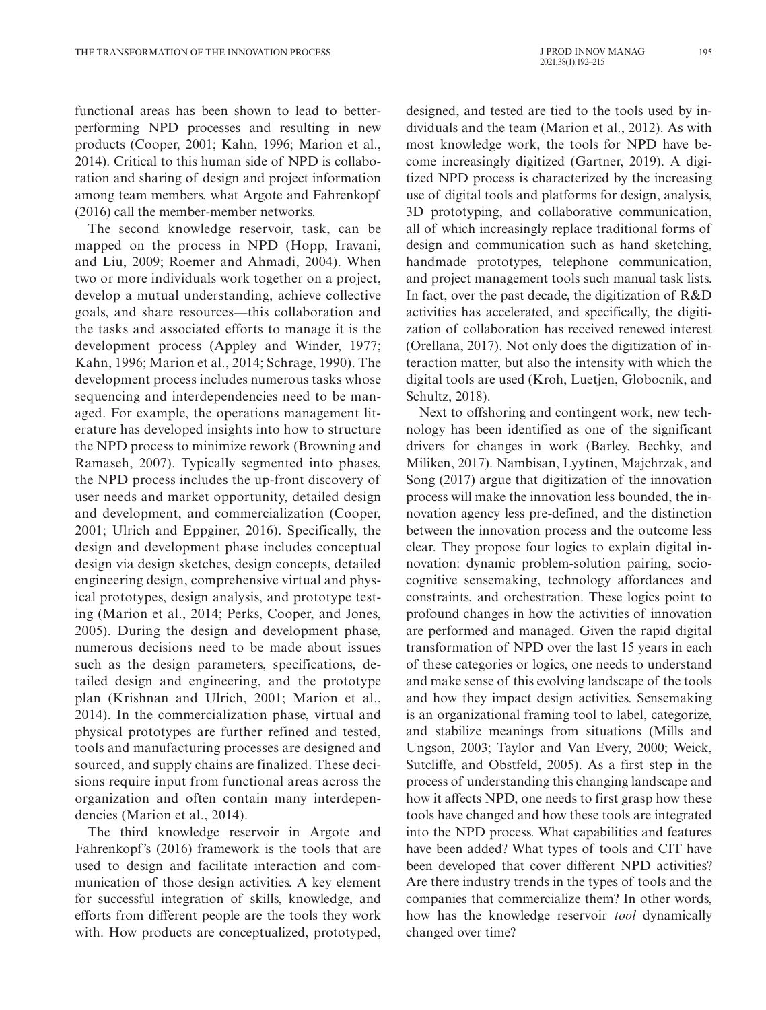functional areas has been shown to lead to betterperforming NPD processes and resulting in new products (Cooper, 2001; Kahn, 1996; Marion et al., 2014). Critical to this human side of NPD is collaboration and sharing of design and project information among team members, what Argote and Fahrenkopf (2016) call the member-member networks.

The second knowledge reservoir, task, can be mapped on the process in NPD (Hopp, Iravani, and Liu, 2009; Roemer and Ahmadi, 2004). When two or more individuals work together on a project, develop a mutual understanding, achieve collective goals, and share resources—this collaboration and the tasks and associated efforts to manage it is the development process (Appley and Winder, 1977; Kahn, 1996; Marion et al., 2014; Schrage, 1990). The development process includes numerous tasks whose sequencing and interdependencies need to be managed. For example, the operations management literature has developed insights into how to structure the NPD process to minimize rework (Browning and Ramaseh, 2007). Typically segmented into phases, the NPD process includes the up-front discovery of user needs and market opportunity, detailed design and development, and commercialization (Cooper, 2001; Ulrich and Eppginer, 2016). Specifically, the design and development phase includes conceptual design via design sketches, design concepts, detailed engineering design, comprehensive virtual and physical prototypes, design analysis, and prototype testing (Marion et al., 2014; Perks, Cooper, and Jones, 2005). During the design and development phase, numerous decisions need to be made about issues such as the design parameters, specifications, detailed design and engineering, and the prototype plan (Krishnan and Ulrich, 2001; Marion et al., 2014). In the commercialization phase, virtual and physical prototypes are further refined and tested, tools and manufacturing processes are designed and sourced, and supply chains are finalized. These decisions require input from functional areas across the organization and often contain many interdependencies (Marion et al., 2014).

The third knowledge reservoir in Argote and Fahrenkopf's (2016) framework is the tools that are used to design and facilitate interaction and communication of those design activities. A key element for successful integration of skills, knowledge, and efforts from different people are the tools they work with. How products are conceptualized, prototyped, designed, and tested are tied to the tools used by individuals and the team (Marion et al., 2012). As with most knowledge work, the tools for NPD have become increasingly digitized (Gartner, 2019). A digitized NPD process is characterized by the increasing use of digital tools and platforms for design, analysis, 3D prototyping, and collaborative communication, all of which increasingly replace traditional forms of design and communication such as hand sketching, handmade prototypes, telephone communication, and project management tools such manual task lists. In fact, over the past decade, the digitization of R&D activities has accelerated, and specifically, the digitization of collaboration has received renewed interest (Orellana, 2017). Not only does the digitization of interaction matter, but also the intensity with which the digital tools are used (Kroh, Luetjen, Globocnik, and Schultz, 2018).

Next to offshoring and contingent work, new technology has been identified as one of the significant drivers for changes in work (Barley, Bechky, and Miliken, 2017). Nambisan, Lyytinen, Majchrzak, and Song (2017) argue that digitization of the innovation process will make the innovation less bounded, the innovation agency less pre-defined, and the distinction between the innovation process and the outcome less clear. They propose four logics to explain digital innovation: dynamic problem-solution pairing, sociocognitive sensemaking, technology affordances and constraints, and orchestration. These logics point to profound changes in how the activities of innovation are performed and managed. Given the rapid digital transformation of NPD over the last 15 years in each of these categories or logics, one needs to understand and make sense of this evolving landscape of the tools and how they impact design activities. Sensemaking is an organizational framing tool to label, categorize, and stabilize meanings from situations (Mills and Ungson, 2003; Taylor and Van Every, 2000; Weick, Sutcliffe, and Obstfeld, 2005). As a first step in the process of understanding this changing landscape and how it affects NPD, one needs to first grasp how these tools have changed and how these tools are integrated into the NPD process. What capabilities and features have been added? What types of tools and CIT have been developed that cover different NPD activities? Are there industry trends in the types of tools and the companies that commercialize them? In other words, how has the knowledge reservoir *tool* dynamically changed over time?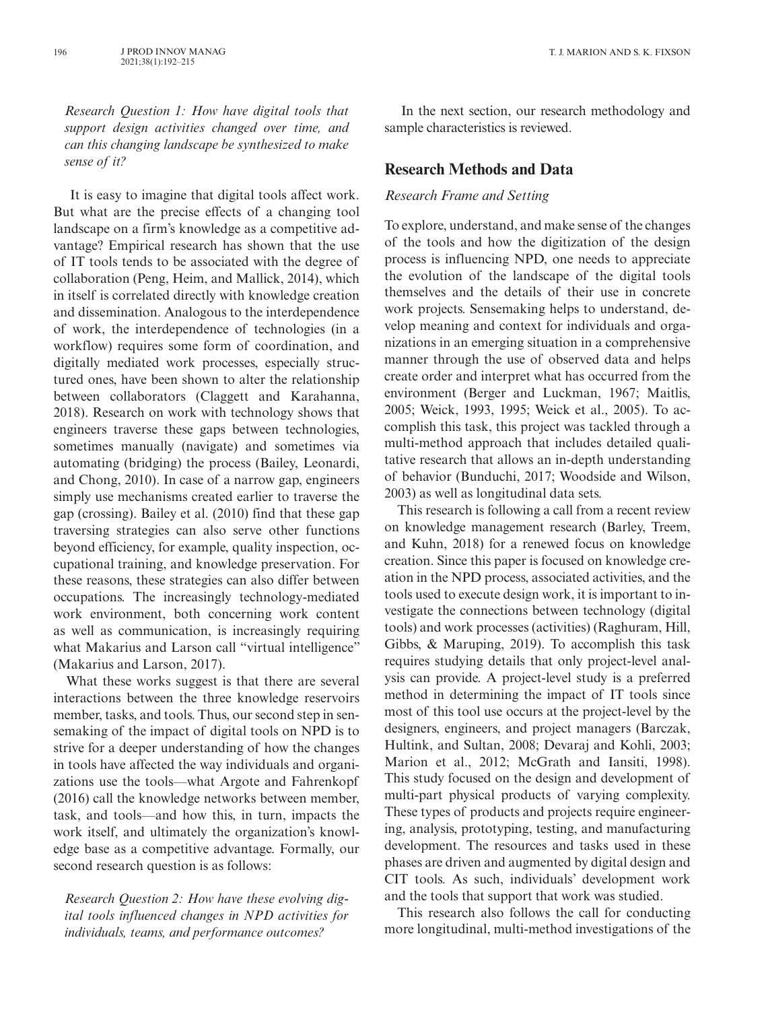*Research Question 1: How have digital tools that support design activities changed over time, and can this changing landscape be synthesized to make sense of it?*

It is easy to imagine that digital tools affect work. But what are the precise effects of a changing tool landscape on a firm's knowledge as a competitive advantage? Empirical research has shown that the use of IT tools tends to be associated with the degree of collaboration (Peng, Heim, and Mallick, 2014), which in itself is correlated directly with knowledge creation and dissemination. Analogous to the interdependence of work, the interdependence of technologies (in a workflow) requires some form of coordination, and digitally mediated work processes, especially structured ones, have been shown to alter the relationship between collaborators (Claggett and Karahanna, 2018). Research on work with technology shows that engineers traverse these gaps between technologies, sometimes manually (navigate) and sometimes via automating (bridging) the process (Bailey, Leonardi, and Chong, 2010). In case of a narrow gap, engineers simply use mechanisms created earlier to traverse the gap (crossing). Bailey et al. (2010) find that these gap traversing strategies can also serve other functions beyond efficiency, for example, quality inspection, occupational training, and knowledge preservation. For these reasons, these strategies can also differ between occupations. The increasingly technology-mediated work environment, both concerning work content as well as communication, is increasingly requiring what Makarius and Larson call "virtual intelligence" (Makarius and Larson, 2017).

What these works suggest is that there are several interactions between the three knowledge reservoirs member, tasks, and tools. Thus, our second step in sensemaking of the impact of digital tools on NPD is to strive for a deeper understanding of how the changes in tools have affected the way individuals and organizations use the tools—what Argote and Fahrenkopf (2016) call the knowledge networks between member, task, and tools—and how this, in turn, impacts the work itself, and ultimately the organization's knowledge base as a competitive advantage. Formally, our second research question is as follows:

*Research Question 2: How have these evolving digital tools influenced changes in NPD activities for individuals, teams, and performance outcomes?*

In the next section, our research methodology and sample characteristics is reviewed.

# **Research Methods and Data**

#### *Research Frame and Setting*

To explore, understand, and make sense of the changes of the tools and how the digitization of the design process is influencing NPD, one needs to appreciate the evolution of the landscape of the digital tools themselves and the details of their use in concrete work projects. Sensemaking helps to understand, develop meaning and context for individuals and organizations in an emerging situation in a comprehensive manner through the use of observed data and helps create order and interpret what has occurred from the environment (Berger and Luckman, 1967; Maitlis, 2005; Weick, 1993, 1995; Weick et al., 2005). To accomplish this task, this project was tackled through a multi-method approach that includes detailed qualitative research that allows an in-depth understanding of behavior (Bunduchi, 2017; Woodside and Wilson, 2003) as well as longitudinal data sets.

This research is following a call from a recent review on knowledge management research (Barley, Treem, and Kuhn, 2018) for a renewed focus on knowledge creation. Since this paper is focused on knowledge creation in the NPD process, associated activities, and the tools used to execute design work, it is important to investigate the connections between technology (digital tools) and work processes (activities) (Raghuram, Hill, Gibbs, & Maruping, 2019). To accomplish this task requires studying details that only project-level analysis can provide. A project-level study is a preferred method in determining the impact of IT tools since most of this tool use occurs at the project-level by the designers, engineers, and project managers (Barczak, Hultink, and Sultan, 2008; Devaraj and Kohli, 2003; Marion et al., 2012; McGrath and Iansiti, 1998). This study focused on the design and development of multi-part physical products of varying complexity. These types of products and projects require engineering, analysis, prototyping, testing, and manufacturing development. The resources and tasks used in these phases are driven and augmented by digital design and CIT tools. As such, individuals' development work and the tools that support that work was studied.

This research also follows the call for conducting more longitudinal, multi-method investigations of the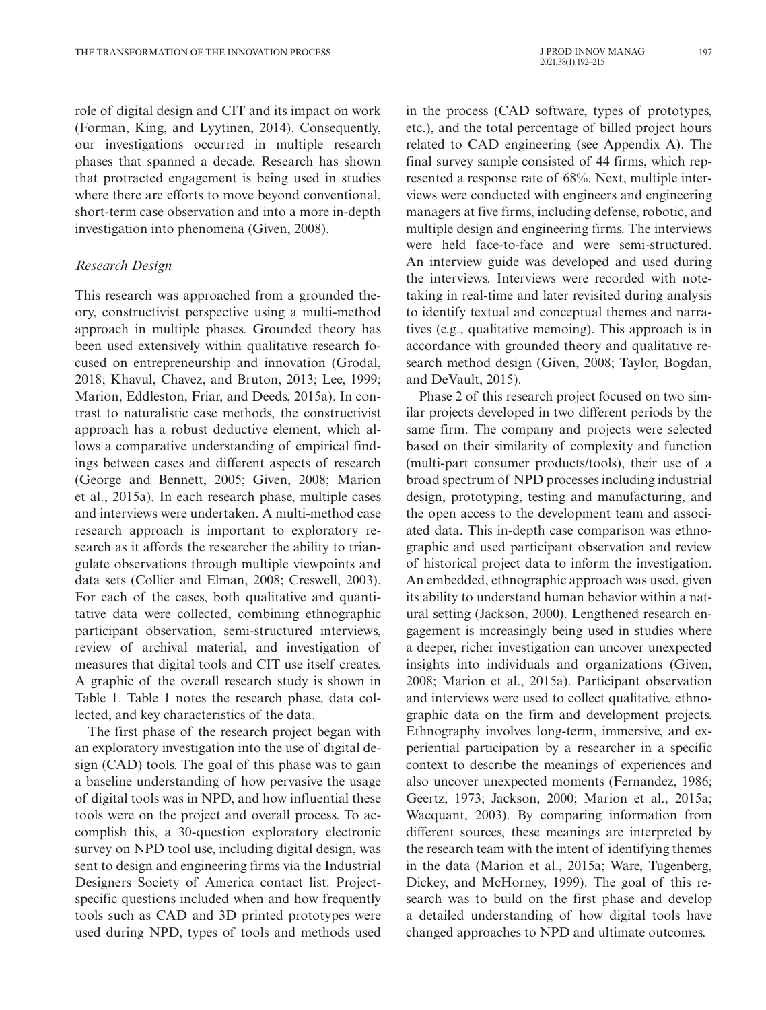role of digital design and CIT and its impact on work (Forman, King, and Lyytinen, 2014). Consequently, our investigations occurred in multiple research phases that spanned a decade. Research has shown that protracted engagement is being used in studies where there are efforts to move beyond conventional, short-term case observation and into a more in-depth investigation into phenomena (Given, 2008).

#### *Research Design*

This research was approached from a grounded theory, constructivist perspective using a multi-method approach in multiple phases. Grounded theory has been used extensively within qualitative research focused on entrepreneurship and innovation (Grodal, 2018; Khavul, Chavez, and Bruton, 2013; Lee, 1999; Marion, Eddleston, Friar, and Deeds, 2015a). In contrast to naturalistic case methods, the constructivist approach has a robust deductive element, which allows a comparative understanding of empirical findings between cases and different aspects of research (George and Bennett, 2005; Given, 2008; Marion et al., 2015a). In each research phase, multiple cases and interviews were undertaken. A multi-method case research approach is important to exploratory research as it affords the researcher the ability to triangulate observations through multiple viewpoints and data sets (Collier and Elman, 2008; Creswell, 2003). For each of the cases, both qualitative and quantitative data were collected, combining ethnographic participant observation, semi-structured interviews, review of archival material, and investigation of measures that digital tools and CIT use itself creates. A graphic of the overall research study is shown in Table 1. Table 1 notes the research phase, data collected, and key characteristics of the data.

The first phase of the research project began with an exploratory investigation into the use of digital design (CAD) tools. The goal of this phase was to gain a baseline understanding of how pervasive the usage of digital tools was in NPD, and how influential these tools were on the project and overall process. To accomplish this, a 30-question exploratory electronic survey on NPD tool use, including digital design, was sent to design and engineering firms via the Industrial Designers Society of America contact list. Projectspecific questions included when and how frequently tools such as CAD and 3D printed prototypes were used during NPD, types of tools and methods used in the process (CAD software, types of prototypes, etc.), and the total percentage of billed project hours related to CAD engineering (see Appendix A). The final survey sample consisted of 44 firms, which represented a response rate of 68%. Next, multiple interviews were conducted with engineers and engineering managers at five firms, including defense, robotic, and multiple design and engineering firms. The interviews were held face-to-face and were semi-structured. An interview guide was developed and used during the interviews. Interviews were recorded with notetaking in real-time and later revisited during analysis to identify textual and conceptual themes and narratives (e.g., qualitative memoing). This approach is in accordance with grounded theory and qualitative research method design (Given, 2008; Taylor, Bogdan, and DeVault, 2015).

Phase 2 of this research project focused on two similar projects developed in two different periods by the same firm. The company and projects were selected based on their similarity of complexity and function (multi-part consumer products/tools), their use of a broad spectrum of NPD processes including industrial design, prototyping, testing and manufacturing, and the open access to the development team and associated data. This in-depth case comparison was ethnographic and used participant observation and review of historical project data to inform the investigation. An embedded, ethnographic approach was used, given its ability to understand human behavior within a natural setting (Jackson, 2000). Lengthened research engagement is increasingly being used in studies where a deeper, richer investigation can uncover unexpected insights into individuals and organizations (Given, 2008; Marion et al., 2015a). Participant observation and interviews were used to collect qualitative, ethnographic data on the firm and development projects. Ethnography involves long-term, immersive, and experiential participation by a researcher in a specific context to describe the meanings of experiences and also uncover unexpected moments (Fernandez, 1986; Geertz, 1973; Jackson, 2000; Marion et al., 2015a; Wacquant, 2003). By comparing information from different sources, these meanings are interpreted by the research team with the intent of identifying themes in the data (Marion et al., 2015a; Ware, Tugenberg, Dickey, and McHorney, 1999). The goal of this research was to build on the first phase and develop a detailed understanding of how digital tools have changed approaches to NPD and ultimate outcomes.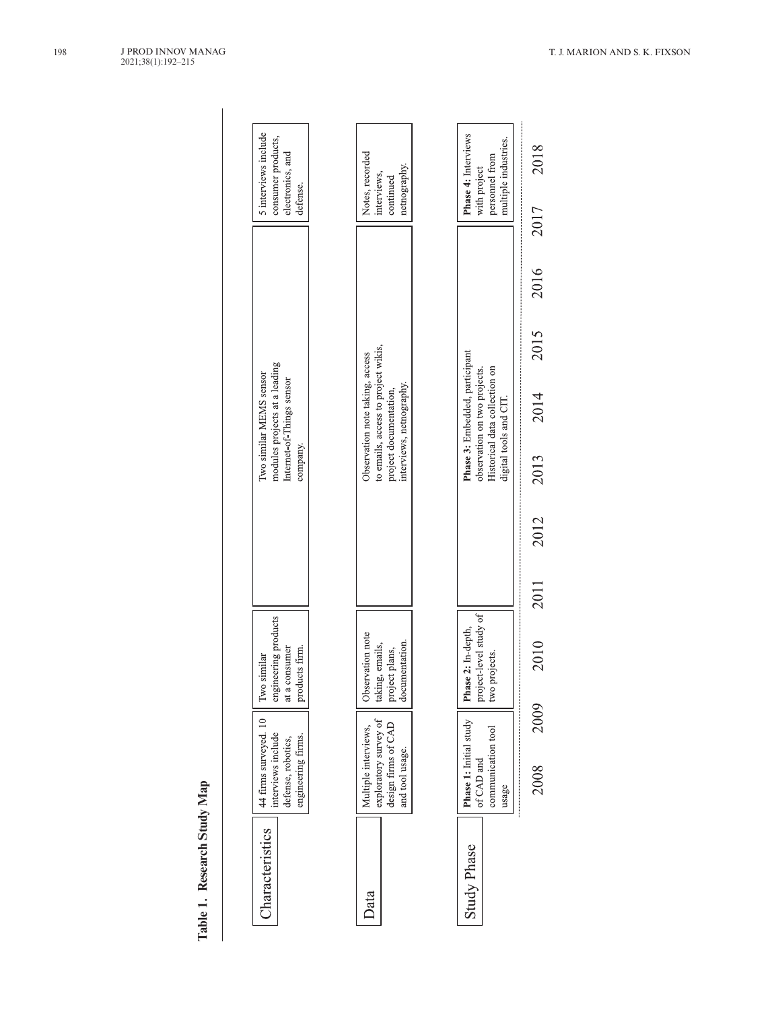| í<br>₹                   |
|--------------------------|
| i                        |
|                          |
|                          |
| à<br>ໄ                   |
|                          |
| š<br>$\overline{a}$<br>f |
|                          |
| ŀ                        |
|                          |
| $\overline{ }$<br>lab    |

| haracteristics | 44 firms surveyed. 10   Two | similar                  | Iwo similar MEMS sensor       | interviews include |
|----------------|-----------------------------|--------------------------|-------------------------------|--------------------|
|                | nterviews include           | neering product<br>engir | nodules projects at a leading | onsumer products,  |
|                | lefense, robotics,          | consumer                 | nternet-of-Things sensor      | lectronics, and    |
|                | ngineering firms.           | products firm.           | company.                      | lefense.           |

| Data | fultiple interviews.  | bservation note    | Observation note taking, access     | Jotes, recorded |
|------|-----------------------|--------------------|-------------------------------------|-----------------|
|      | exploratory survey on | aking, emails,     | to emails, access to project wikis, | iterviews,      |
|      | lesign firms of CAL   | nlans,<br>roject p | roject documentation.               | ontinued        |
|      | and tool usage.       | ocume              | interviews, netnography.            | tuography.      |
|      |                       |                    |                                     |                 |
|      |                       |                    |                                     |                 |

|            | Phase 1: Initial study |      |      |      |      |                        | Phase 3: Embedded, participa |      |      |      | 1ase 4: Interviey |
|------------|------------------------|------|------|------|------|------------------------|------------------------------|------|------|------|-------------------|
| tudy Phase | of CAD and             |      |      |      |      |                        | bservation on two projec     |      |      |      |                   |
|            | nmunication too        |      |      |      |      |                        | Historical data collection ( |      |      |      |                   |
|            | sage                   |      |      |      |      | digital tools and CIT. |                              |      |      |      |                   |
|            |                        |      |      |      |      |                        |                              |      |      |      |                   |
|            | 2008                   | 2009 | 2010 | 2011 | 2012 | 2013                   | 2014                         | 2015 | 2016 | 2017 | 2018              |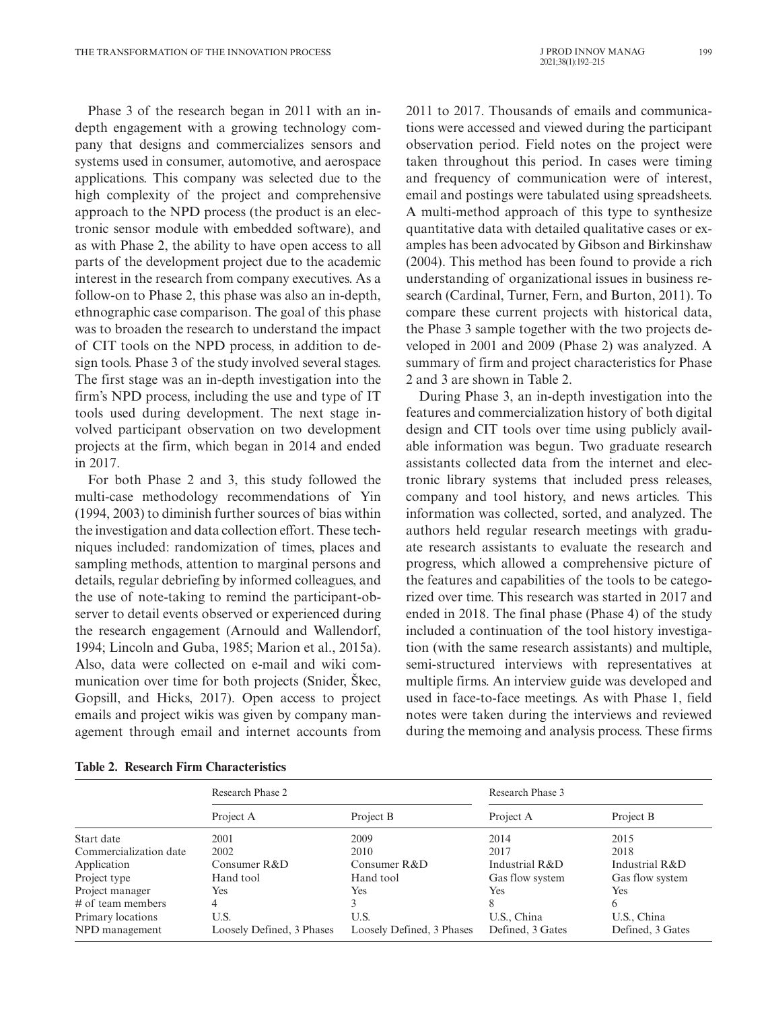Phase 3 of the research began in 2011 with an indepth engagement with a growing technology company that designs and commercializes sensors and systems used in consumer, automotive, and aerospace applications. This company was selected due to the high complexity of the project and comprehensive approach to the NPD process (the product is an electronic sensor module with embedded software), and as with Phase 2, the ability to have open access to all parts of the development project due to the academic interest in the research from company executives. As a follow-on to Phase 2, this phase was also an in-depth, ethnographic case comparison. The goal of this phase was to broaden the research to understand the impact of CIT tools on the NPD process, in addition to design tools. Phase 3 of the study involved several stages. The first stage was an in-depth investigation into the firm's NPD process, including the use and type of IT tools used during development. The next stage involved participant observation on two development projects at the firm, which began in 2014 and ended in 2017.

For both Phase 2 and 3, this study followed the multi-case methodology recommendations of Yin (1994, 2003) to diminish further sources of bias within the investigation and data collection effort. These techniques included: randomization of times, places and sampling methods, attention to marginal persons and details, regular debriefing by informed colleagues, and the use of note-taking to remind the participant-observer to detail events observed or experienced during the research engagement (Arnould and Wallendorf, 1994; Lincoln and Guba, 1985; Marion et al., 2015a). Also, data were collected on e-mail and wiki communication over time for both projects (Snider, Škec, Gopsill, and Hicks, 2017). Open access to project emails and project wikis was given by company management through email and internet accounts from 2011 to 2017. Thousands of emails and communications were accessed and viewed during the participant observation period. Field notes on the project were taken throughout this period. In cases were timing and frequency of communication were of interest, email and postings were tabulated using spreadsheets. A multi-method approach of this type to synthesize quantitative data with detailed qualitative cases or examples has been advocated by Gibson and Birkinshaw (2004). This method has been found to provide a rich understanding of organizational issues in business research (Cardinal, Turner, Fern, and Burton, 2011). To compare these current projects with historical data, the Phase 3 sample together with the two projects developed in 2001 and 2009 (Phase 2) was analyzed. A summary of firm and project characteristics for Phase 2 and 3 are shown in Table 2.

During Phase 3, an in-depth investigation into the features and commercialization history of both digital design and CIT tools over time using publicly available information was begun. Two graduate research assistants collected data from the internet and electronic library systems that included press releases, company and tool history, and news articles. This information was collected, sorted, and analyzed. The authors held regular research meetings with graduate research assistants to evaluate the research and progress, which allowed a comprehensive picture of the features and capabilities of the tools to be categorized over time. This research was started in 2017 and ended in 2018. The final phase (Phase 4) of the study included a continuation of the tool history investigation (with the same research assistants) and multiple, semi-structured interviews with representatives at multiple firms. An interview guide was developed and used in face-to-face meetings. As with Phase 1, field notes were taken during the interviews and reviewed during the memoing and analysis process. These firms

|                        | Research Phase 2          |                           | Research Phase 3 |                  |
|------------------------|---------------------------|---------------------------|------------------|------------------|
|                        | Project A                 | Project B                 | Project A        | Project B        |
| Start date             | 2001                      | 2009                      | 2014             | 2015             |
| Commercialization date | 2002                      | 2010                      | 2017             | 2018             |
| Application            | Consumer R&D              | Consumer R&D              | Industrial R&D   | Industrial R&D   |
| Project type           | Hand tool                 | Hand tool                 | Gas flow system  | Gas flow system  |
| Project manager        | Yes                       | Yes.                      | Yes              | Yes              |
| $#$ of team members    | 4                         |                           | 8                | 6                |
| Primary locations      | U.S.                      | U.S.                      | U.S., China      | U.S., China      |
| NPD management         | Loosely Defined, 3 Phases | Loosely Defined, 3 Phases | Defined, 3 Gates | Defined, 3 Gates |

**Table 2. Research Firm Characteristics**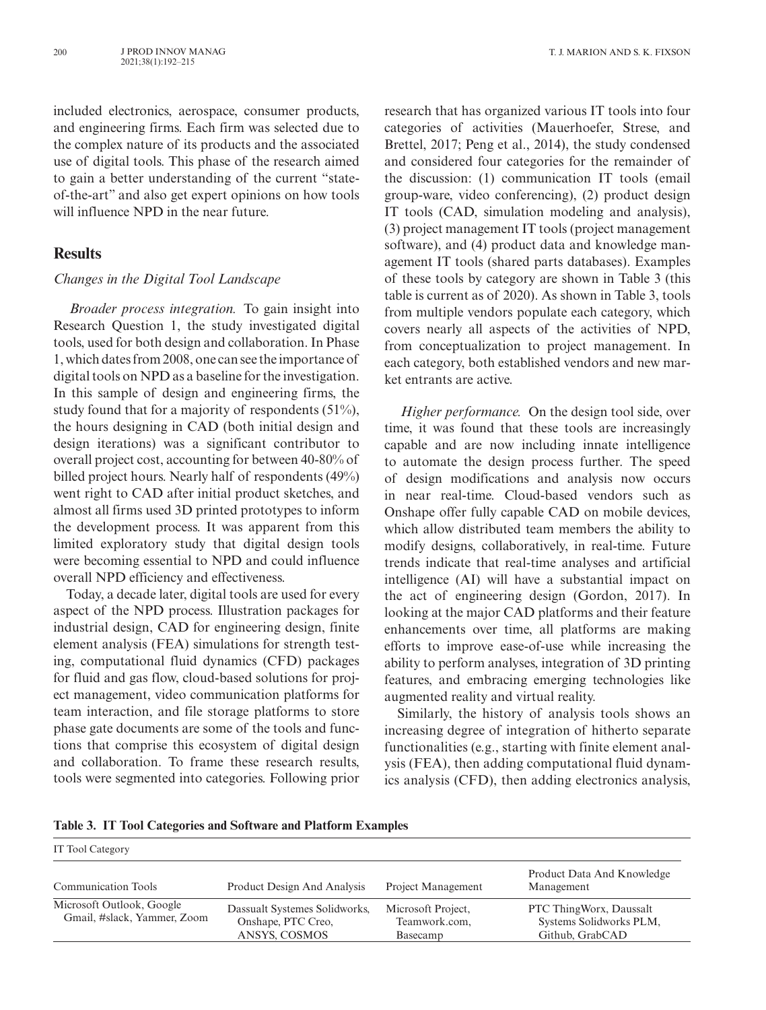included electronics, aerospace, consumer products, and engineering firms. Each firm was selected due to the complex nature of its products and the associated use of digital tools. This phase of the research aimed to gain a better understanding of the current "stateof-the-art" and also get expert opinions on how tools will influence NPD in the near future.

## **Results**

#### *Changes in the Digital Tool Landscape*

*Broader process integration.* To gain insight into Research Question 1, the study investigated digital tools, used for both design and collaboration. In Phase 1, which dates from 2008, one can see the importance of digital tools on NPD as a baseline for the investigation. In this sample of design and engineering firms, the study found that for a majority of respondents (51%), the hours designing in CAD (both initial design and design iterations) was a significant contributor to overall project cost, accounting for between 40-80% of billed project hours. Nearly half of respondents (49%) went right to CAD after initial product sketches, and almost all firms used 3D printed prototypes to inform the development process. It was apparent from this limited exploratory study that digital design tools were becoming essential to NPD and could influence overall NPD efficiency and effectiveness.

Today, a decade later, digital tools are used for every aspect of the NPD process. Illustration packages for industrial design, CAD for engineering design, finite element analysis (FEA) simulations for strength testing, computational fluid dynamics (CFD) packages for fluid and gas flow, cloud-based solutions for project management, video communication platforms for team interaction, and file storage platforms to store phase gate documents are some of the tools and functions that comprise this ecosystem of digital design and collaboration. To frame these research results, tools were segmented into categories. Following prior

research that has organized various IT tools into four categories of activities (Mauerhoefer, Strese, and Brettel, 2017; Peng et al., 2014), the study condensed and considered four categories for the remainder of the discussion: (1) communication IT tools (email group-ware, video conferencing), (2) product design IT tools (CAD, simulation modeling and analysis), (3) project management IT tools (project management software), and (4) product data and knowledge management IT tools (shared parts databases). Examples of these tools by category are shown in Table 3 (this table is current as of 2020). As shown in Table 3, tools from multiple vendors populate each category, which covers nearly all aspects of the activities of NPD, from conceptualization to project management. In each category, both established vendors and new market entrants are active.

*Higher performance.* On the design tool side, over time, it was found that these tools are increasingly capable and are now including innate intelligence to automate the design process further. The speed of design modifications and analysis now occurs in near real-time. Cloud-based vendors such as Onshape offer fully capable CAD on mobile devices, which allow distributed team members the ability to modify designs, collaboratively, in real-time. Future trends indicate that real-time analyses and artificial intelligence (AI) will have a substantial impact on the act of engineering design (Gordon, 2017). In looking at the major CAD platforms and their feature enhancements over time, all platforms are making efforts to improve ease-of-use while increasing the ability to perform analyses, integration of 3D printing features, and embracing emerging technologies like augmented reality and virtual reality.

Similarly, the history of analysis tools shows an increasing degree of integration of hitherto separate functionalities (e.g., starting with finite element analysis (FEA), then adding computational fluid dynamics analysis (CFD), then adding electronics analysis,

|  | Table 3. IT Tool Categories and Software and Platform Examples |  |  |  |
|--|----------------------------------------------------------------|--|--|--|
|  |                                                                |  |  |  |

| IT Tool Category                                         |                                                                      |                                                 |                                                                       |
|----------------------------------------------------------|----------------------------------------------------------------------|-------------------------------------------------|-----------------------------------------------------------------------|
| Communication Tools                                      | Product Design And Analysis                                          | Project Management                              | Product Data And Knowledge<br>Management                              |
| Microsoft Outlook, Google<br>Gmail, #slack, Yammer, Zoom | Dassualt Systemes Solidworks,<br>Onshape, PTC Creo,<br>ANSYS, COSMOS | Microsoft Project,<br>Teamwork.com,<br>Basecamp | PTC ThingWorx, Daussalt<br>Systems Solidworks PLM,<br>Github, GrabCAD |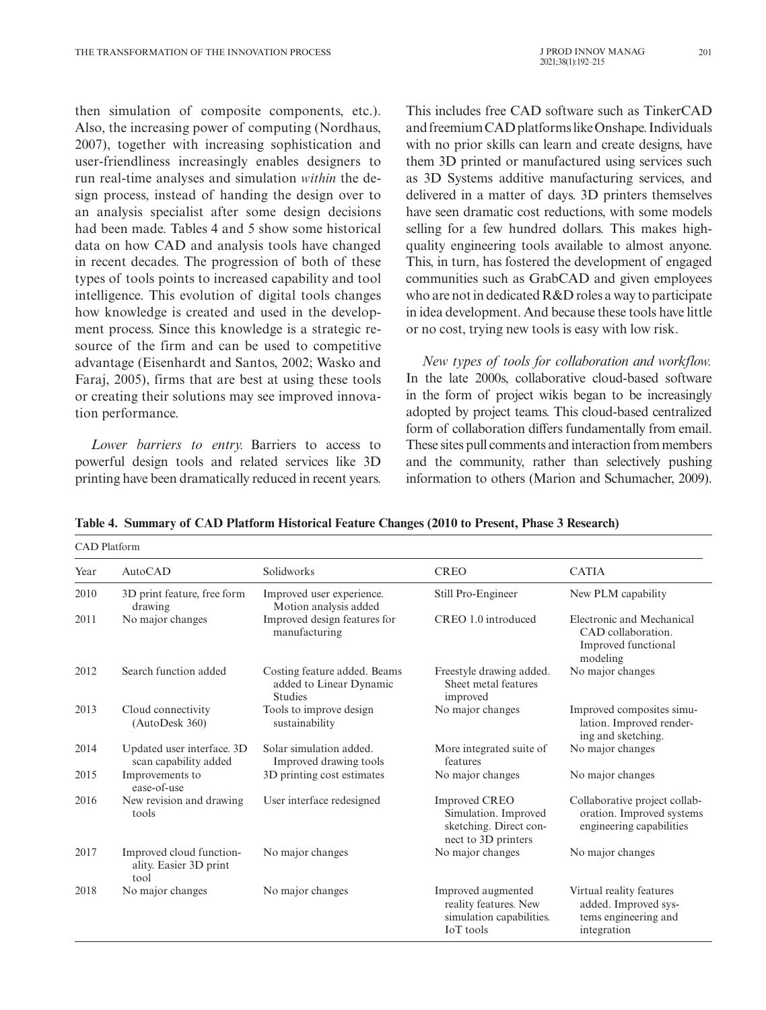then simulation of composite components, etc.). Also, the increasing power of computing (Nordhaus, 2007), together with increasing sophistication and user-friendliness increasingly enables designers to run real-time analyses and simulation *within* the design process, instead of handing the design over to an analysis specialist after some design decisions had been made. Tables 4 and 5 show some historical data on how CAD and analysis tools have changed in recent decades. The progression of both of these types of tools points to increased capability and tool intelligence. This evolution of digital tools changes how knowledge is created and used in the development process. Since this knowledge is a strategic resource of the firm and can be used to competitive advantage (Eisenhardt and Santos, 2002; Wasko and Faraj, 2005), firms that are best at using these tools or creating their solutions may see improved innovation performance.

*Lower barriers to entry.* Barriers to access to powerful design tools and related services like 3D printing have been dramatically reduced in recent years.

This includes free CAD software such as TinkerCAD and freemium CAD platforms like Onshape. Individuals with no prior skills can learn and create designs, have them 3D printed or manufactured using services such as 3D Systems additive manufacturing services, and delivered in a matter of days. 3D printers themselves have seen dramatic cost reductions, with some models selling for a few hundred dollars. This makes highquality engineering tools available to almost anyone. This, in turn, has fostered the development of engaged communities such as GrabCAD and given employees who are not in dedicated R&D roles a way to participate in idea development. And because these tools have little or no cost, trying new tools is easy with low risk.

*New types of tools for collaboration and workflow.* In the late 2000s, collaborative cloud-based software in the form of project wikis began to be increasingly adopted by project teams. This cloud-based centralized form of collaboration differs fundamentally from email. These sites pull comments and interaction from members and the community, rather than selectively pushing information to others (Marion and Schumacher, 2009).

| <b>CAD</b> Platform |                                                            |                                                                           |                                                                                               |                                                                                         |
|---------------------|------------------------------------------------------------|---------------------------------------------------------------------------|-----------------------------------------------------------------------------------------------|-----------------------------------------------------------------------------------------|
| Year                | AutoCAD                                                    | Solidworks                                                                | <b>CREO</b>                                                                                   | <b>CATIA</b>                                                                            |
| 2010                | 3D print feature, free form<br>drawing                     | Improved user experience.<br>Motion analysis added                        | Still Pro-Engineer                                                                            | New PLM capability                                                                      |
| 2011                | No major changes                                           | Improved design features for<br>manufacturing                             | CREO 1.0 introduced                                                                           | Electronic and Mechanical<br>CAD collaboration.<br>Improved functional<br>modeling      |
| 2012                | Search function added                                      | Costing feature added. Beams<br>added to Linear Dynamic<br><b>Studies</b> | Freestyle drawing added.<br>Sheet metal features<br>improved                                  | No major changes                                                                        |
| 2013                | Cloud connectivity<br>(AutoDesk 360)                       | Tools to improve design<br>sustainability                                 | No major changes                                                                              | Improved composites simu-<br>lation. Improved render-<br>ing and sketching.             |
| 2014                | Updated user interface. 3D<br>scan capability added        | Solar simulation added.<br>Improved drawing tools                         | More integrated suite of<br>features                                                          | No major changes                                                                        |
| 2015                | Improvements to<br>ease-of-use                             | 3D printing cost estimates                                                | No major changes                                                                              | No major changes                                                                        |
| 2016                | New revision and drawing<br>tools                          | User interface redesigned                                                 | <b>Improved CREO</b><br>Simulation. Improved<br>sketching. Direct con-<br>nect to 3D printers | Collaborative project collab-<br>oration. Improved systems<br>engineering capabilities  |
| 2017                | Improved cloud function-<br>ality. Easier 3D print<br>tool | No major changes                                                          | No major changes                                                                              | No major changes                                                                        |
| 2018                | No major changes                                           | No major changes                                                          | Improved augmented<br>reality features. New<br>simulation capabilities.<br>IoT tools          | Virtual reality features<br>added. Improved sys-<br>tems engineering and<br>integration |

**Table 4. Summary of CAD Platform Historical Feature Changes (2010 to Present, Phase 3 Research)**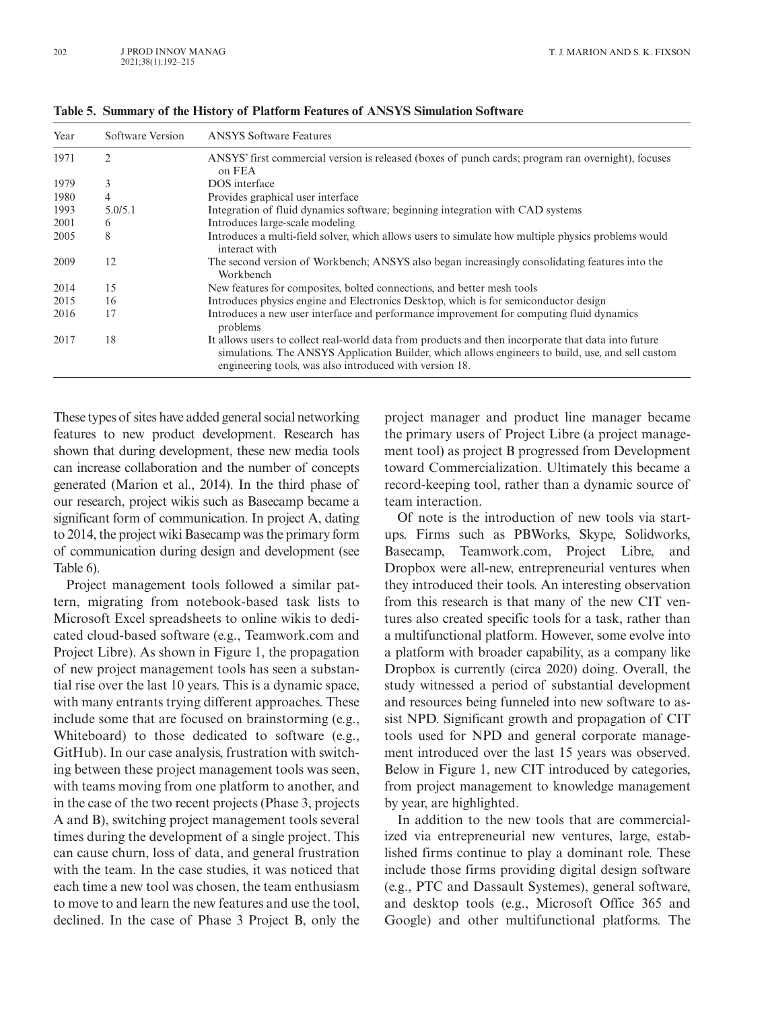| Year | Software Version | <b>ANSYS Software Features</b>                                                                                                                                                                                                                                      |
|------|------------------|---------------------------------------------------------------------------------------------------------------------------------------------------------------------------------------------------------------------------------------------------------------------|
| 1971 | 2                | ANSYS' first commercial version is released (boxes of punch cards; program ran overnight), focuses<br>on FEA                                                                                                                                                        |
| 1979 | 3                | DOS interface                                                                                                                                                                                                                                                       |
| 1980 | 4                | Provides graphical user interface                                                                                                                                                                                                                                   |
| 1993 | 5.0/5.1          | Integration of fluid dynamics software; beginning integration with CAD systems                                                                                                                                                                                      |
| 2001 | 6                | Introduces large-scale modeling                                                                                                                                                                                                                                     |
| 2005 | 8                | Introduces a multi-field solver, which allows users to simulate how multiple physics problems would<br>interact with                                                                                                                                                |
| 2009 | 12               | The second version of Workbench; ANSYS also began increasingly consolidating features into the<br>Workbench                                                                                                                                                         |
| 2014 | 15               | New features for composites, bolted connections, and better mesh tools                                                                                                                                                                                              |
| 2015 | 16               | Introduces physics engine and Electronics Desktop, which is for semiconductor design                                                                                                                                                                                |
| 2016 | 17               | Introduces a new user interface and performance improvement for computing fluid dynamics<br>problems                                                                                                                                                                |
| 2017 | 18               | It allows users to collect real-world data from products and then incorporate that data into future<br>simulations. The ANSYS Application Builder, which allows engineers to build, use, and sell custom<br>engineering tools, was also introduced with version 18. |

**Table 5. Summary of the History of Platform Features of ANSYS Simulation Software**

These types of sites have added general social networking features to new product development. Research has shown that during development, these new media tools can increase collaboration and the number of concepts generated (Marion et al., 2014). In the third phase of our research, project wikis such as Basecamp became a significant form of communication. In project A, dating to 2014, the project wiki Basecamp was the primary form of communication during design and development (see Table 6).

Project management tools followed a similar pattern, migrating from notebook-based task lists to Microsoft Excel spreadsheets to online wikis to dedicated cloud-based software (e.g., Teamwork.com and Project Libre). As shown in Figure 1, the propagation of new project management tools has seen a substantial rise over the last 10 years. This is a dynamic space, with many entrants trying different approaches. These include some that are focused on brainstorming (e.g., Whiteboard) to those dedicated to software (e.g., GitHub). In our case analysis, frustration with switching between these project management tools was seen, with teams moving from one platform to another, and in the case of the two recent projects (Phase 3, projects A and B), switching project management tools several times during the development of a single project. This can cause churn, loss of data, and general frustration with the team. In the case studies, it was noticed that each time a new tool was chosen, the team enthusiasm to move to and learn the new features and use the tool, declined. In the case of Phase 3 Project B, only the project manager and product line manager became the primary users of Project Libre (a project management tool) as project B progressed from Development toward Commercialization. Ultimately this became a record-keeping tool, rather than a dynamic source of team interaction.

Of note is the introduction of new tools via startups. Firms such as PBWorks, Skype, Solidworks, Basecamp, Teamwork.com, Project Libre, and Dropbox were all-new, entrepreneurial ventures when they introduced their tools. An interesting observation from this research is that many of the new CIT ventures also created specific tools for a task, rather than a multifunctional platform. However, some evolve into a platform with broader capability, as a company like Dropbox is currently (circa 2020) doing. Overall, the study witnessed a period of substantial development and resources being funneled into new software to assist NPD. Significant growth and propagation of CIT tools used for NPD and general corporate management introduced over the last 15 years was observed. Below in Figure 1, new CIT introduced by categories, from project management to knowledge management by year, are highlighted.

In addition to the new tools that are commercialized via entrepreneurial new ventures, large, established firms continue to play a dominant role. These include those firms providing digital design software (e.g., PTC and Dassault Systemes), general software, and desktop tools (e.g., Microsoft Office 365 and Google) and other multifunctional platforms. The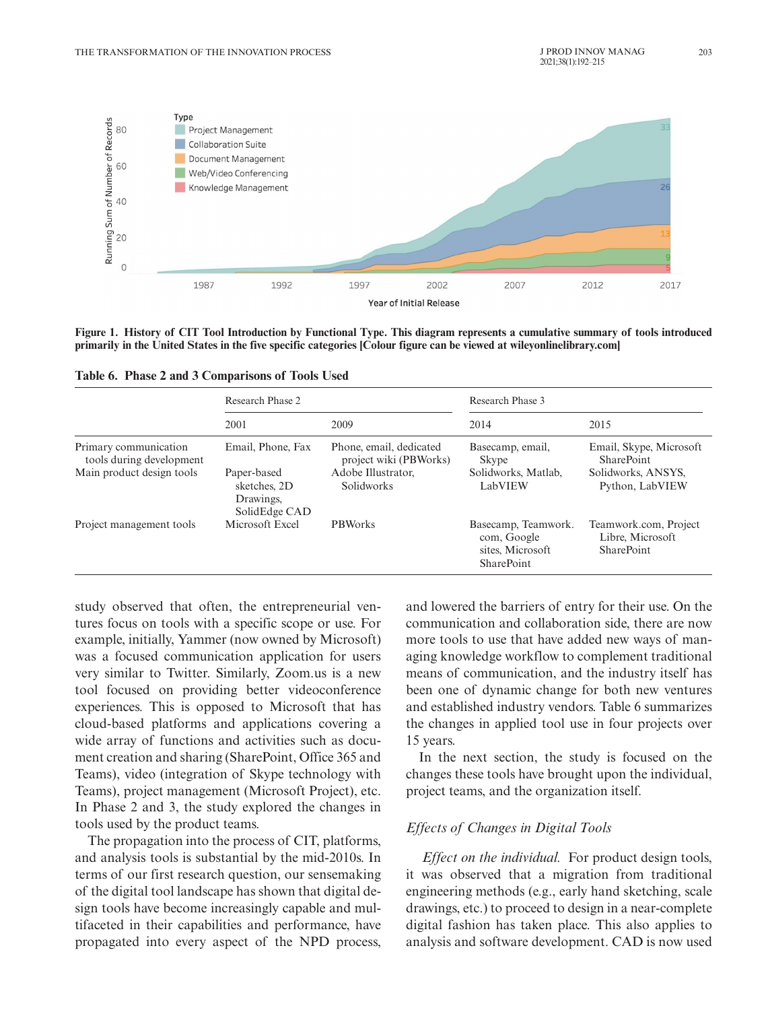

**Figure 1. History of CIT Tool Introduction by Functional Type. This diagram represents a cumulative summary of tools introduced primarily in the United States in the five specific categories [Colour figure can be viewed at wileyonlinelibrary.com]**

| Table 0. Thase 2 and 3 Comparisons of Tools Cseu  |                                                           |                                                   |                                                                      |                                                                |
|---------------------------------------------------|-----------------------------------------------------------|---------------------------------------------------|----------------------------------------------------------------------|----------------------------------------------------------------|
|                                                   | Research Phase 2                                          |                                                   | Research Phase 3                                                     |                                                                |
|                                                   | 2001                                                      | 2009                                              | 2014                                                                 | 2015                                                           |
| Primary communication<br>tools during development | Email, Phone, Fax                                         | Phone, email, dedicated<br>project wiki (PBWorks) | Basecamp, email,<br><b>Skype</b>                                     | Email, Skype, Microsoft<br><b>SharePoint</b>                   |
| Main product design tools                         | Paper-based<br>sketches, 2D<br>Drawings,<br>SolidEdge CAD | Adobe Illustrator,<br>Solidworks                  | Solidworks, Matlab,<br>LabVIEW                                       | Solidworks, ANSYS.<br>Python, LabVIEW                          |
| Project management tools                          | Microsoft Excel                                           | <b>PBWorks</b>                                    | Basecamp, Teamwork.<br>com, Google<br>sites, Microsoft<br>SharePoint | Teamwork.com, Project<br>Libre, Microsoft<br><b>SharePoint</b> |

**Table 6. Phase 2 and 3 Comparisons of Tools Used**

study observed that often, the entrepreneurial ventures focus on tools with a specific scope or use. For example, initially, Yammer (now owned by Microsoft) was a focused communication application for users very similar to Twitter. Similarly, Zoom.us is a new tool focused on providing better videoconference experiences. This is opposed to Microsoft that has cloud-based platforms and applications covering a wide array of functions and activities such as document creation and sharing (SharePoint, Office 365 and Teams), video (integration of Skype technology with Teams), project management (Microsoft Project), etc. In Phase 2 and 3, the study explored the changes in tools used by the product teams.

The propagation into the process of CIT, platforms, and analysis tools is substantial by the mid-2010s. In terms of our first research question, our sensemaking of the digital tool landscape has shown that digital design tools have become increasingly capable and multifaceted in their capabilities and performance, have propagated into every aspect of the NPD process,

and lowered the barriers of entry for their use. On the communication and collaboration side, there are now more tools to use that have added new ways of managing knowledge workflow to complement traditional means of communication, and the industry itself has been one of dynamic change for both new ventures and established industry vendors. Table 6 summarizes the changes in applied tool use in four projects over 15 years.

In the next section, the study is focused on the changes these tools have brought upon the individual, project teams, and the organization itself.

# *Effects of Changes in Digital Tools*

*Effect on the individual.* For product design tools, it was observed that a migration from traditional engineering methods (e.g., early hand sketching, scale drawings, etc.) to proceed to design in a near-complete digital fashion has taken place. This also applies to analysis and software development. CAD is now used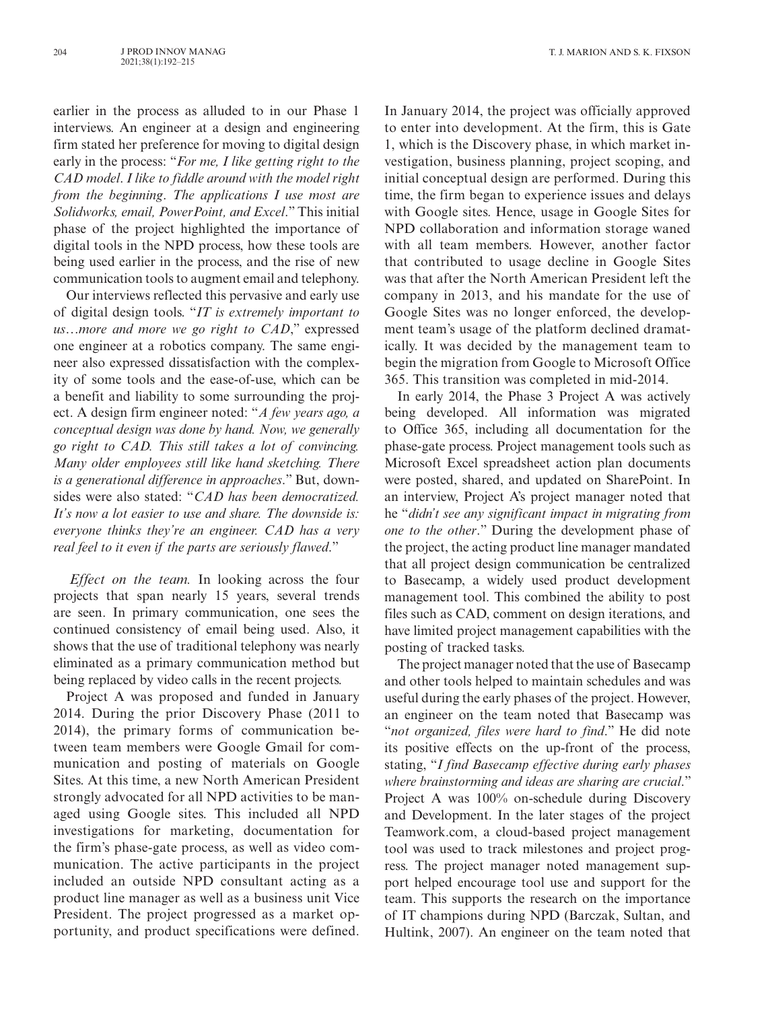earlier in the process as alluded to in our Phase 1 interviews. An engineer at a design and engineering firm stated her preference for moving to digital design early in the process: "*For me, I like getting right to the CAD model*. *I like to fiddle around with the model right from the beginning*. *The applications I use most are Solidworks, email, PowerPoint, and Excel*." This initial phase of the project highlighted the importance of digital tools in the NPD process, how these tools are being used earlier in the process, and the rise of new communication tools to augment email and telephony.

Our interviews reflected this pervasive and early use of digital design tools. "*IT is extremely important to us…more and more we go right to CAD*," expressed one engineer at a robotics company. The same engineer also expressed dissatisfaction with the complexity of some tools and the ease-of-use, which can be a benefit and liability to some surrounding the project. A design firm engineer noted: "*A few years ago, a conceptual design was done by hand. Now, we generally go right to CAD. This still takes a lot of convincing. Many older employees still like hand sketching. There is a generational difference in approaches*." But, downsides were also stated: "*CAD has been democratized. It's now a lot easier to use and share. The downside is: everyone thinks they're an engineer. CAD has a very real feel to it even if the parts are seriously flawed*."

*Effect on the team.* In looking across the four projects that span nearly 15 years, several trends are seen. In primary communication, one sees the continued consistency of email being used. Also, it shows that the use of traditional telephony was nearly eliminated as a primary communication method but being replaced by video calls in the recent projects.

Project A was proposed and funded in January 2014. During the prior Discovery Phase (2011 to 2014), the primary forms of communication between team members were Google Gmail for communication and posting of materials on Google Sites. At this time, a new North American President strongly advocated for all NPD activities to be managed using Google sites. This included all NPD investigations for marketing, documentation for the firm's phase-gate process, as well as video communication. The active participants in the project included an outside NPD consultant acting as a product line manager as well as a business unit Vice President. The project progressed as a market opportunity, and product specifications were defined.

In January 2014, the project was officially approved to enter into development. At the firm, this is Gate 1, which is the Discovery phase, in which market investigation, business planning, project scoping, and initial conceptual design are performed. During this time, the firm began to experience issues and delays with Google sites. Hence, usage in Google Sites for NPD collaboration and information storage waned with all team members. However, another factor that contributed to usage decline in Google Sites was that after the North American President left the company in 2013, and his mandate for the use of Google Sites was no longer enforced, the development team's usage of the platform declined dramatically. It was decided by the management team to begin the migration from Google to Microsoft Office 365. This transition was completed in mid-2014.

In early 2014, the Phase 3 Project A was actively being developed. All information was migrated to Office 365, including all documentation for the phase-gate process. Project management tools such as Microsoft Excel spreadsheet action plan documents were posted, shared, and updated on SharePoint. In an interview, Project A's project manager noted that he "*didn't see any significant impact in migrating from one to the other*." During the development phase of the project, the acting product line manager mandated that all project design communication be centralized to Basecamp, a widely used product development management tool. This combined the ability to post files such as CAD, comment on design iterations, and have limited project management capabilities with the posting of tracked tasks.

The project manager noted that the use of Basecamp and other tools helped to maintain schedules and was useful during the early phases of the project. However, an engineer on the team noted that Basecamp was "*not organized, files were hard to find*." He did note its positive effects on the up-front of the process, stating, "*I find Basecamp effective during early phases where brainstorming and ideas are sharing are crucial*." Project A was 100% on-schedule during Discovery and Development. In the later stages of the project Teamwork.com, a cloud-based project management tool was used to track milestones and project progress. The project manager noted management support helped encourage tool use and support for the team. This supports the research on the importance of IT champions during NPD (Barczak, Sultan, and Hultink, 2007). An engineer on the team noted that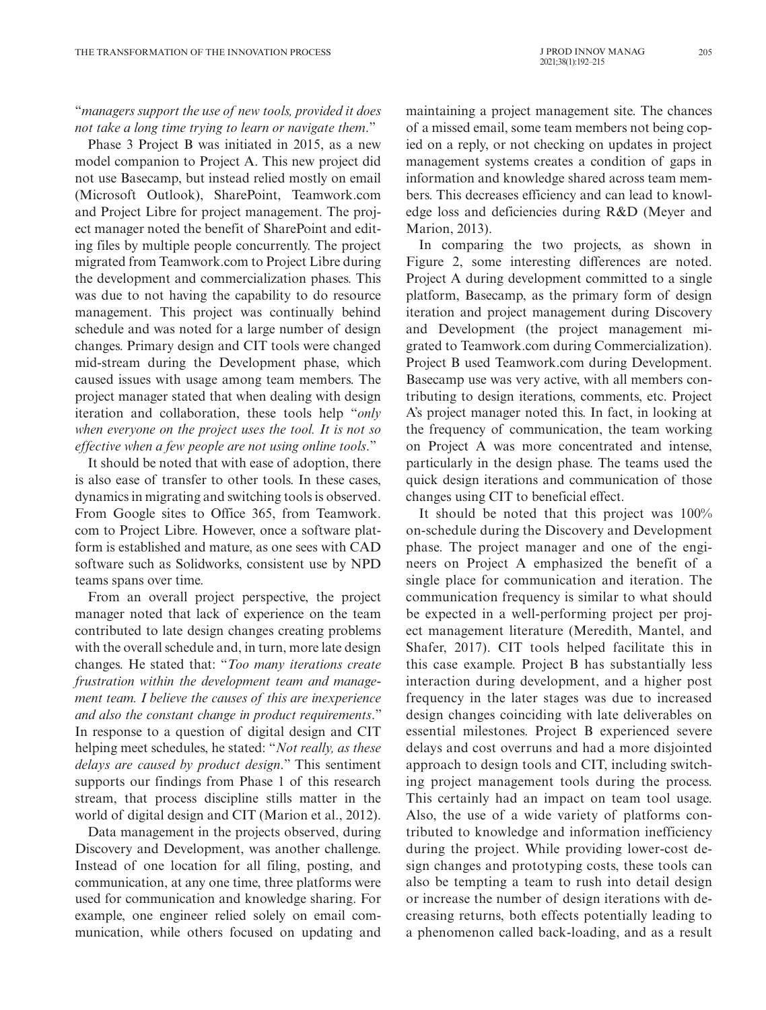# "*managers support the use of new tools, provided it does not take a long time trying to learn or navigate them*."

Phase 3 Project B was initiated in 2015, as a new model companion to Project A. This new project did not use Basecamp, but instead relied mostly on email (Microsoft Outlook), SharePoint, Teamwork.com and Project Libre for project management. The project manager noted the benefit of SharePoint and editing files by multiple people concurrently. The project migrated from Teamwork.com to Project Libre during the development and commercialization phases. This was due to not having the capability to do resource management. This project was continually behind schedule and was noted for a large number of design changes. Primary design and CIT tools were changed mid-stream during the Development phase, which caused issues with usage among team members. The project manager stated that when dealing with design iteration and collaboration, these tools help "*only when everyone on the project uses the tool. It is not so effective when a few people are not using online tools*."

It should be noted that with ease of adoption, there is also ease of transfer to other tools. In these cases, dynamics in migrating and switching tools is observed. From Google sites to Office 365, from Teamwork. com to Project Libre. However, once a software platform is established and mature, as one sees with CAD software such as Solidworks, consistent use by NPD teams spans over time.

From an overall project perspective, the project manager noted that lack of experience on the team contributed to late design changes creating problems with the overall schedule and, in turn, more late design changes. He stated that: "*Too many iterations create frustration within the development team and management team. I believe the causes of this are inexperience and also the constant change in product requirements*." In response to a question of digital design and CIT helping meet schedules, he stated: "*Not really, as these delays are caused by product design*." This sentiment supports our findings from Phase 1 of this research stream, that process discipline stills matter in the world of digital design and CIT (Marion et al., 2012).

Data management in the projects observed, during Discovery and Development, was another challenge. Instead of one location for all filing, posting, and communication, at any one time, three platforms were used for communication and knowledge sharing. For example, one engineer relied solely on email communication, while others focused on updating and maintaining a project management site. The chances of a missed email, some team members not being copied on a reply, or not checking on updates in project management systems creates a condition of gaps in information and knowledge shared across team members. This decreases efficiency and can lead to knowledge loss and deficiencies during R&D (Meyer and Marion, 2013).

In comparing the two projects, as shown in Figure 2, some interesting differences are noted. Project A during development committed to a single platform, Basecamp, as the primary form of design iteration and project management during Discovery and Development (the project management migrated to Teamwork.com during Commercialization). Project B used Teamwork.com during Development. Basecamp use was very active, with all members contributing to design iterations, comments, etc. Project A's project manager noted this. In fact, in looking at the frequency of communication, the team working on Project A was more concentrated and intense, particularly in the design phase. The teams used the quick design iterations and communication of those changes using CIT to beneficial effect.

It should be noted that this project was 100% on-schedule during the Discovery and Development phase. The project manager and one of the engineers on Project A emphasized the benefit of a single place for communication and iteration. The communication frequency is similar to what should be expected in a well-performing project per project management literature (Meredith, Mantel, and Shafer, 2017). CIT tools helped facilitate this in this case example. Project B has substantially less interaction during development, and a higher post frequency in the later stages was due to increased design changes coinciding with late deliverables on essential milestones. Project B experienced severe delays and cost overruns and had a more disjointed approach to design tools and CIT, including switching project management tools during the process. This certainly had an impact on team tool usage. Also, the use of a wide variety of platforms contributed to knowledge and information inefficiency during the project. While providing lower-cost design changes and prototyping costs, these tools can also be tempting a team to rush into detail design or increase the number of design iterations with decreasing returns, both effects potentially leading to a phenomenon called back-loading, and as a result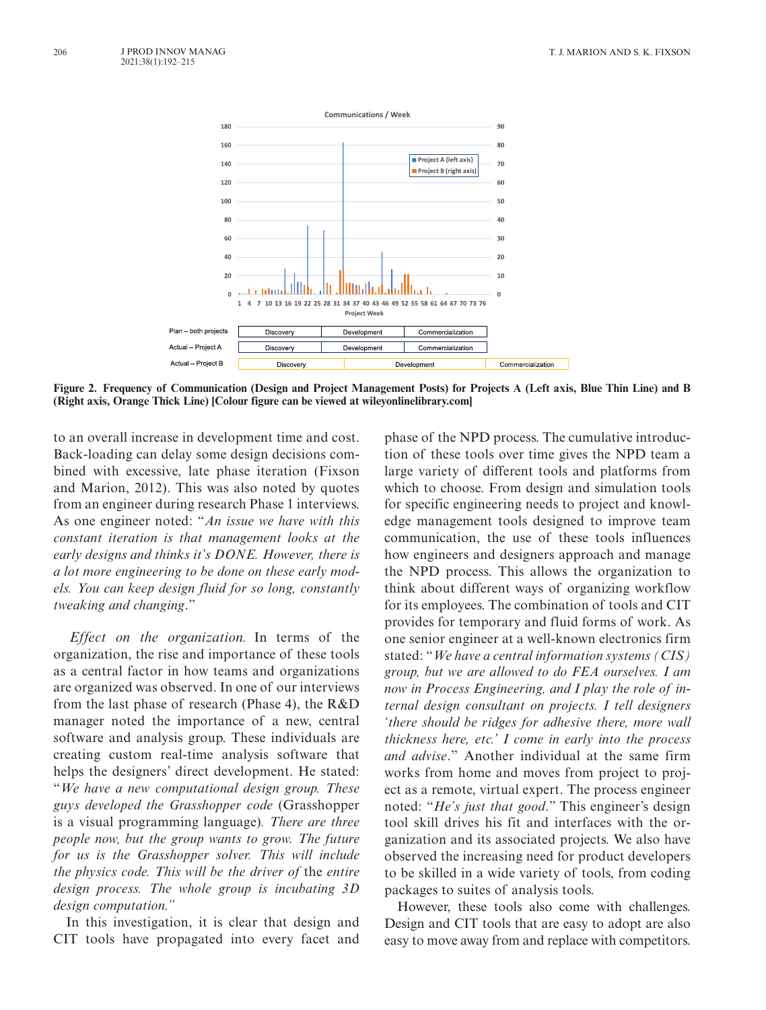

**Figure 2. Frequency of Communication (Design and Project Management Posts) for Projects A (Left axis, Blue Thin Line) and B (Right axis, Orange Thick Line) [Colour figure can be viewed at wileyonlinelibrary.com]**

to an overall increase in development time and cost. Back-loading can delay some design decisions combined with excessive, late phase iteration (Fixson and Marion, 2012). This was also noted by quotes from an engineer during research Phase 1 interviews. As one engineer noted: "*An issue we have with this constant iteration is that management looks at the early designs and thinks it's DONE. However, there is a lot more engineering to be done on these early models. You can keep design fluid for so long, constantly tweaking and changing*."

*Effect on the organization.* In terms of the organization, the rise and importance of these tools as a central factor in how teams and organizations are organized was observed. In one of our interviews from the last phase of research (Phase 4), the R&D manager noted the importance of a new, central software and analysis group. These individuals are creating custom real-time analysis software that helps the designers' direct development. He stated: "*We have a new computational design group. These guys developed the Grasshopper code* (Grasshopper is a visual programming language)*. There are three people now, but the group wants to grow. The future for us is the Grasshopper solver. This will include the physics code. This will be the driver of* the *entire design process. The whole group is incubating 3D design computation."*

In this investigation, it is clear that design and CIT tools have propagated into every facet and

phase of the NPD process. The cumulative introduction of these tools over time gives the NPD team a large variety of different tools and platforms from which to choose. From design and simulation tools for specific engineering needs to project and knowledge management tools designed to improve team communication, the use of these tools influences how engineers and designers approach and manage the NPD process. This allows the organization to think about different ways of organizing workflow for its employees. The combination of tools and CIT provides for temporary and fluid forms of work. As one senior engineer at a well-known electronics firm stated: "*We have a central information systems (CIS) group, but we are allowed to do FEA ourselves. I am now in Process Engineering, and I play the role of internal design consultant on projects. I tell designers 'there should be ridges for adhesive there, more wall thickness here, etc.' I come in early into the process and advise*." Another individual at the same firm works from home and moves from project to project as a remote, virtual expert. The process engineer noted: "*He's just that good*." This engineer's design tool skill drives his fit and interfaces with the organization and its associated projects. We also have observed the increasing need for product developers to be skilled in a wide variety of tools, from coding packages to suites of analysis tools.

However, these tools also come with challenges. Design and CIT tools that are easy to adopt are also easy to move away from and replace with competitors.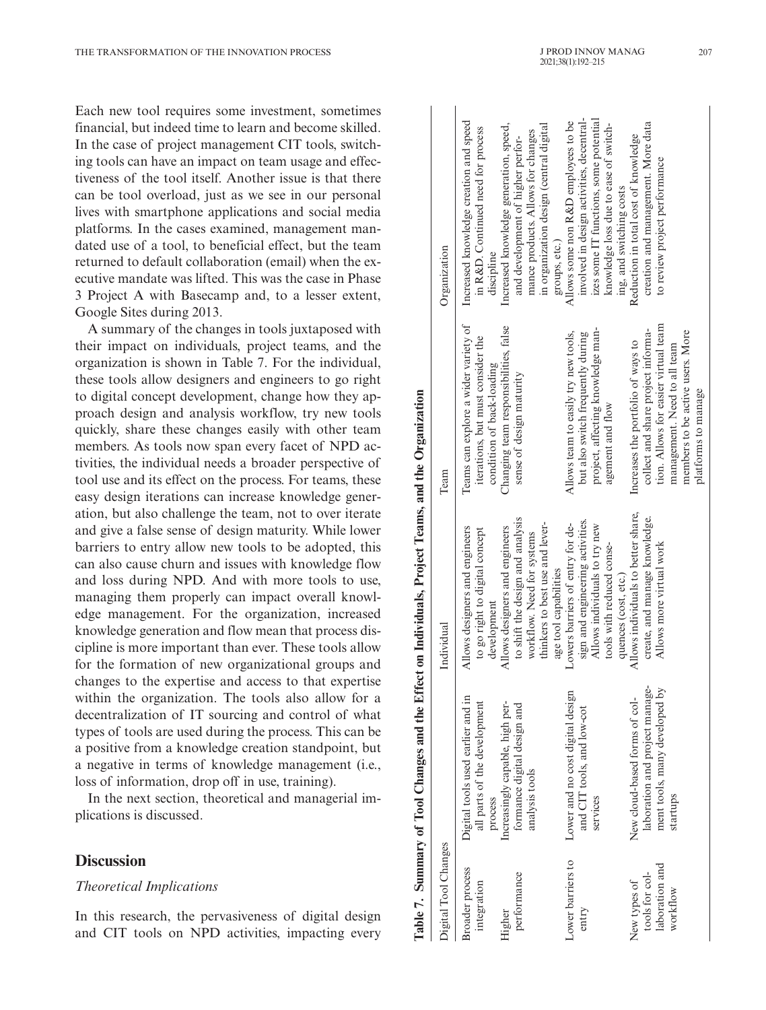Each new tool requires some investment, sometimes financial, but indeed time to learn and become skilled. In the case of project management CIT tools, switching tools can have an impact on team usage and effectiveness of the tool itself. Another issue is that there can be tool overload, just as we see in our personal lives with smartphone applications and social media platforms. In the cases examined, management mandated use of a tool, to beneficial effect, but the team returned to default collaboration (email) when the executive mandate was lifted. This was the case in Phase 3 Project A with Basecamp and, to a lesser extent, Google Sites during 2013.

A summary of the changes in tools juxtaposed with their impact on individuals, project teams, and the organization is shown in Table 7. For the individual, these tools allow designers and engineers to go right to digital concept development, change how they approach design and analysis workflow, try new tools quickly, share these changes easily with other team members. As tools now span every facet of NPD activities, the individual needs a broader perspective of tool use and its effect on the process. For teams, these easy design iterations can increase knowledge generation, but also challenge the team, not to over iterate and give a false sense of design maturity. While lower barriers to entry allow new tools to be adopted, this can also cause churn and issues with knowledge flow and loss during NPD. And with more tools to use, managing them properly can impact overall knowledge management. For the organization, increased knowledge generation and flow mean that process discipline is more important than ever. These tools allow for the formation of new organizational groups and changes to the expertise and access to that expertise within the organization. The tools also allow for a decentralization of IT sourcing and control of what types of tools are used during the process. This can be a positive from a knowledge creation standpoint, but a negative in terms of knowledge management (i.e., loss of information, drop off in use, training).

In the next section, theoretical and managerial implications is discussed.

## **Discussion**

## *Theoretical Implications*

In this research, the pervasiveness of digital design and CIT tools on NPD activities, impacting every

izes some IT functions, some potential Increased knowledge creation and speed involved in design activities, decentralizes some IT functions, some potential Increased knowledge creation and speed Allows some non R&D employees to be Allows some non R&D employees to be involved in design activities, decentralcreation and management. More data creation and management. More data Increased knowledge generation, speed, in organization design (central digital discipline<br>Increased knowledge generation, speed, knowledge loss due to ease of switchin organization design (central digital knowledge loss due to ease of switchin R&D. Continued need for process in R&D. Continued need for process mance products. Allows for changes mance products. Allows for changes and development of higher perfor-Reduction in total cost of knowledge Reduction in total cost of knowledge and development of higher perforto review project performance to review project performanceing, and switching costs ing, and switching costs groups, etc.) groups, etc.) **Organization** Digital Tool Changes Individual Individual Individual Team Team Organization Teams can explore a wider variety of Teams can explore a wider variety of tion. Allows for easier virtual team Changing team responsibilities, false Changing team responsibilities, false tion. Allows for easier virtual team project, affecting knowledge mancollect and share project informa-Allows team to easily try new tools, project, affecting knowledge manmembers to be active users. More Allows team to easily try new tools, but also switch frequently during but also switch frequently during collect and share project informamembers to be active users. More iterations, but must consider the iterations, but must consider the Increases the portfolio of ways to Increases the portfolio of ways to management. Need to all team management. Need to all team condition of back-loading condition of back-loading sense of design maturity sense of design maturity platforms to manage Table 7. Summary of Tool Changes and the Effect on Individuals, Project Teams, and the Organization platforms to manage **Table 7. Summary of Tool Changes and the Effect on Individuals, Project Teams, and the Organization** agement and flow agement and flow Team Allows individuals to better share, Allows individuals to better share, create, and manage knowledge. to shift the design and analysis create, and manage knowledge. to shift the design and analysis sign and engineering activities. sign and engineering activities. thinkers to best use and lever-Lowers barriers of entry for de-Allows individuals to try new Allows individuals to try new Allows designers and engineers Allows designers and engineers Allows designers and engineers Allows designers and engineers thinkers to best use and leverto go right to digital concept Lowers barriers of entry for deto go right to digital concept workflow. Need for systems workflow. Need for systems tools with reduced conse-Allows more virtual work Allows more virtual work tools with reduced conseage tool capabilities age tool capabilities quences (cost, etc.) quences (cost, etc.) development development ndividual laboration and project managelaboration and project management tools, many developed by Lower and no cost digital design ment tools, many developed by Lower and no cost digital design Digital tools used earlier and in Digital tools used earlier and in New cloud-based forms of colall parts of the development all parts of the development New cloud-based forms of colncreasingly capable, high performance digital design and formance digital design and Increasingly capable, high perand CIT tools, and low-cot and CIT tools, and low-cot analysis tools analysis tools process services startups **Digital Tool Changes** Lower barriers to Lower barriers to laboration and laboration and Broader process Broader process tools for colperformance performance tools for colintegration New types of New types of workflow Higher entry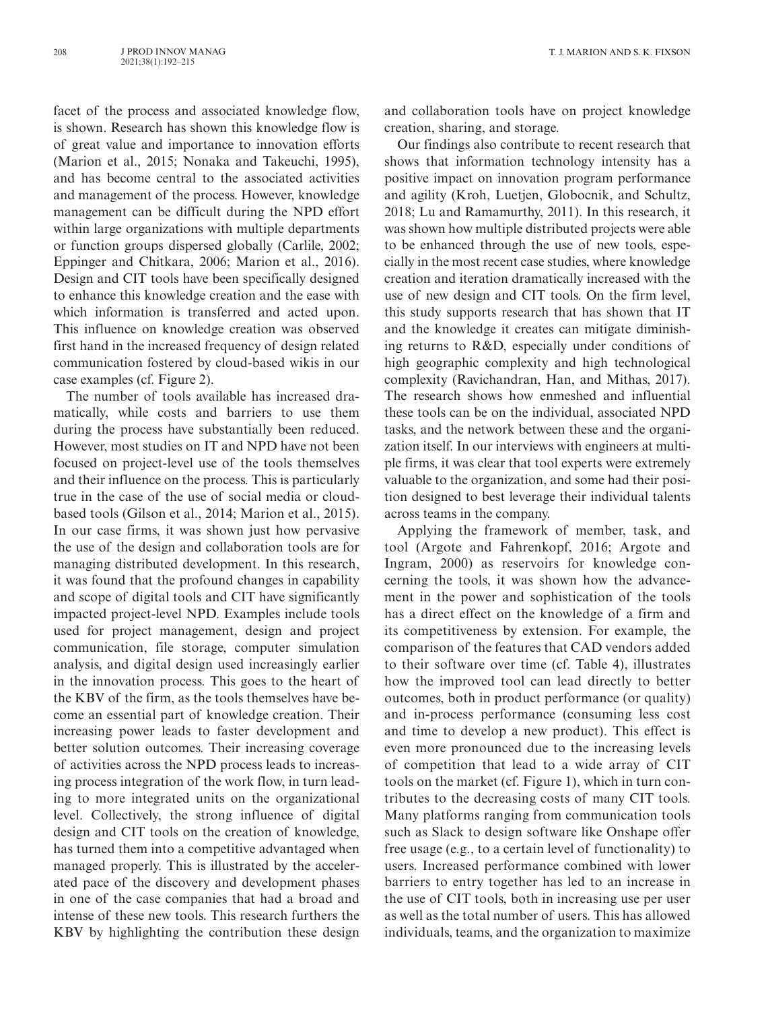facet of the process and associated knowledge flow, is shown. Research has shown this knowledge flow is of great value and importance to innovation efforts (Marion et al., 2015; Nonaka and Takeuchi, 1995), and has become central to the associated activities and management of the process. However, knowledge management can be difficult during the NPD effort within large organizations with multiple departments or function groups dispersed globally (Carlile, 2002; Eppinger and Chitkara, 2006; Marion et al., 2016). Design and CIT tools have been specifically designed to enhance this knowledge creation and the ease with which information is transferred and acted upon. This influence on knowledge creation was observed first hand in the increased frequency of design related communication fostered by cloud-based wikis in our case examples (cf. Figure 2).

The number of tools available has increased dramatically, while costs and barriers to use them during the process have substantially been reduced. However, most studies on IT and NPD have not been focused on project-level use of the tools themselves and their influence on the process. This is particularly true in the case of the use of social media or cloudbased tools (Gilson et al., 2014; Marion et al., 2015). In our case firms, it was shown just how pervasive the use of the design and collaboration tools are for managing distributed development. In this research, it was found that the profound changes in capability and scope of digital tools and CIT have significantly impacted project-level NPD. Examples include tools used for project management, design and project communication, file storage, computer simulation analysis, and digital design used increasingly earlier in the innovation process. This goes to the heart of the KBV of the firm, as the tools themselves have become an essential part of knowledge creation. Their increasing power leads to faster development and better solution outcomes. Their increasing coverage of activities across the NPD process leads to increasing process integration of the work flow, in turn leading to more integrated units on the organizational level. Collectively, the strong influence of digital design and CIT tools on the creation of knowledge, has turned them into a competitive advantaged when managed properly. This is illustrated by the accelerated pace of the discovery and development phases in one of the case companies that had a broad and intense of these new tools. This research furthers the KBV by highlighting the contribution these design and collaboration tools have on project knowledge creation, sharing, and storage.

Our findings also contribute to recent research that shows that information technology intensity has a positive impact on innovation program performance and agility (Kroh, Luetjen, Globocnik, and Schultz, 2018; Lu and Ramamurthy, 2011). In this research, it was shown how multiple distributed projects were able to be enhanced through the use of new tools, especially in the most recent case studies, where knowledge creation and iteration dramatically increased with the use of new design and CIT tools. On the firm level, this study supports research that has shown that IT and the knowledge it creates can mitigate diminishing returns to R&D, especially under conditions of high geographic complexity and high technological complexity (Ravichandran, Han, and Mithas, 2017). The research shows how enmeshed and influential these tools can be on the individual, associated NPD tasks, and the network between these and the organization itself. In our interviews with engineers at multiple firms, it was clear that tool experts were extremely valuable to the organization, and some had their position designed to best leverage their individual talents across teams in the company.

Applying the framework of member, task, and tool (Argote and Fahrenkopf, 2016; Argote and Ingram, 2000) as reservoirs for knowledge concerning the tools, it was shown how the advancement in the power and sophistication of the tools has a direct effect on the knowledge of a firm and its competitiveness by extension. For example, the comparison of the features that CAD vendors added to their software over time (cf. Table 4), illustrates how the improved tool can lead directly to better outcomes, both in product performance (or quality) and in-process performance (consuming less cost and time to develop a new product). This effect is even more pronounced due to the increasing levels of competition that lead to a wide array of CIT tools on the market (cf. Figure 1), which in turn contributes to the decreasing costs of many CIT tools. Many platforms ranging from communication tools such as Slack to design software like Onshape offer free usage (e.g., to a certain level of functionality) to users. Increased performance combined with lower barriers to entry together has led to an increase in the use of CIT tools, both in increasing use per user as well as the total number of users. This has allowed individuals, teams, and the organization to maximize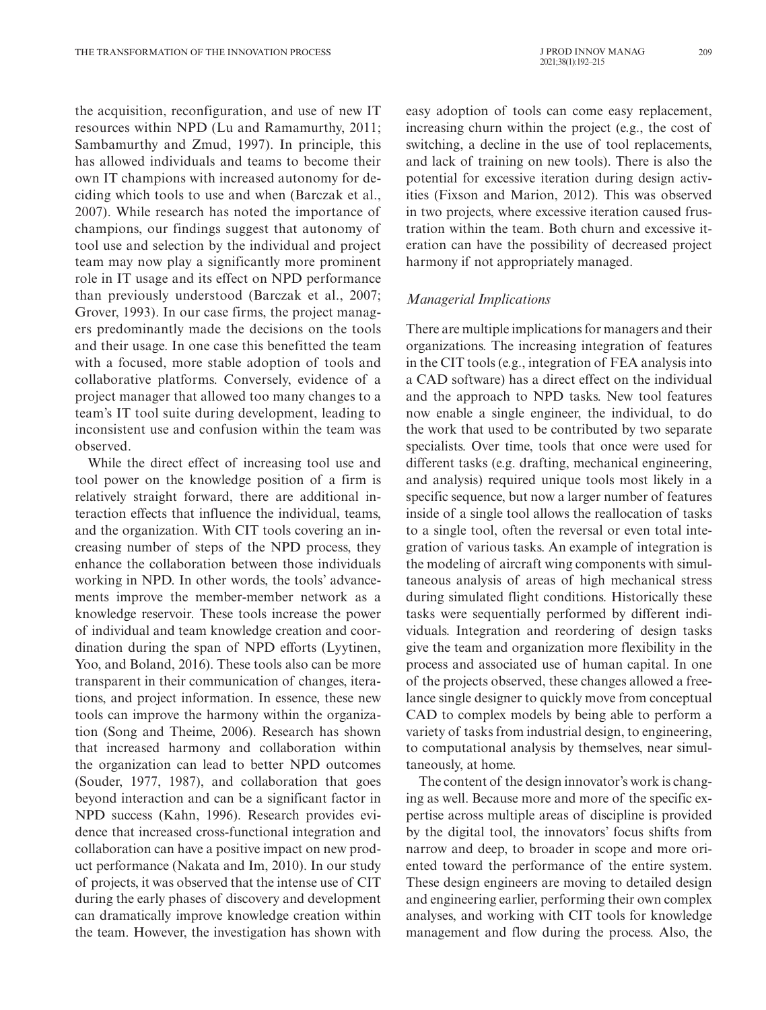the acquisition, reconfiguration, and use of new IT resources within NPD (Lu and Ramamurthy, 2011; Sambamurthy and Zmud, 1997). In principle, this has allowed individuals and teams to become their own IT champions with increased autonomy for deciding which tools to use and when (Barczak et al., 2007). While research has noted the importance of champions, our findings suggest that autonomy of tool use and selection by the individual and project team may now play a significantly more prominent role in IT usage and its effect on NPD performance than previously understood (Barczak et al., 2007; Grover, 1993). In our case firms, the project managers predominantly made the decisions on the tools and their usage. In one case this benefitted the team with a focused, more stable adoption of tools and collaborative platforms. Conversely, evidence of a project manager that allowed too many changes to a team's IT tool suite during development, leading to inconsistent use and confusion within the team was observed.

While the direct effect of increasing tool use and tool power on the knowledge position of a firm is relatively straight forward, there are additional interaction effects that influence the individual, teams, and the organization. With CIT tools covering an increasing number of steps of the NPD process, they enhance the collaboration between those individuals working in NPD. In other words, the tools' advancements improve the member-member network as a knowledge reservoir. These tools increase the power of individual and team knowledge creation and coordination during the span of NPD efforts (Lyytinen, Yoo, and Boland, 2016). These tools also can be more transparent in their communication of changes, iterations, and project information. In essence, these new tools can improve the harmony within the organization (Song and Theime, 2006). Research has shown that increased harmony and collaboration within the organization can lead to better NPD outcomes (Souder, 1977, 1987), and collaboration that goes beyond interaction and can be a significant factor in NPD success (Kahn, 1996). Research provides evidence that increased cross-functional integration and collaboration can have a positive impact on new product performance (Nakata and Im, 2010). In our study of projects, it was observed that the intense use of CIT during the early phases of discovery and development can dramatically improve knowledge creation within the team. However, the investigation has shown with easy adoption of tools can come easy replacement, increasing churn within the project (e.g., the cost of switching, a decline in the use of tool replacements, and lack of training on new tools). There is also the potential for excessive iteration during design activities (Fixson and Marion, 2012). This was observed in two projects, where excessive iteration caused frustration within the team. Both churn and excessive iteration can have the possibility of decreased project harmony if not appropriately managed.

## *Managerial Implications*

There are multiple implications for managers and their organizations. The increasing integration of features in the CIT tools (e.g., integration of FEA analysis into a CAD software) has a direct effect on the individual and the approach to NPD tasks. New tool features now enable a single engineer, the individual, to do the work that used to be contributed by two separate specialists. Over time, tools that once were used for different tasks (e.g. drafting, mechanical engineering, and analysis) required unique tools most likely in a specific sequence, but now a larger number of features inside of a single tool allows the reallocation of tasks to a single tool, often the reversal or even total integration of various tasks. An example of integration is the modeling of aircraft wing components with simultaneous analysis of areas of high mechanical stress during simulated flight conditions. Historically these tasks were sequentially performed by different individuals. Integration and reordering of design tasks give the team and organization more flexibility in the process and associated use of human capital. In one of the projects observed, these changes allowed a freelance single designer to quickly move from conceptual CAD to complex models by being able to perform a variety of tasks from industrial design, to engineering, to computational analysis by themselves, near simultaneously, at home.

The content of the design innovator's work is changing as well. Because more and more of the specific expertise across multiple areas of discipline is provided by the digital tool, the innovators' focus shifts from narrow and deep, to broader in scope and more oriented toward the performance of the entire system. These design engineers are moving to detailed design and engineering earlier, performing their own complex analyses, and working with CIT tools for knowledge management and flow during the process. Also, the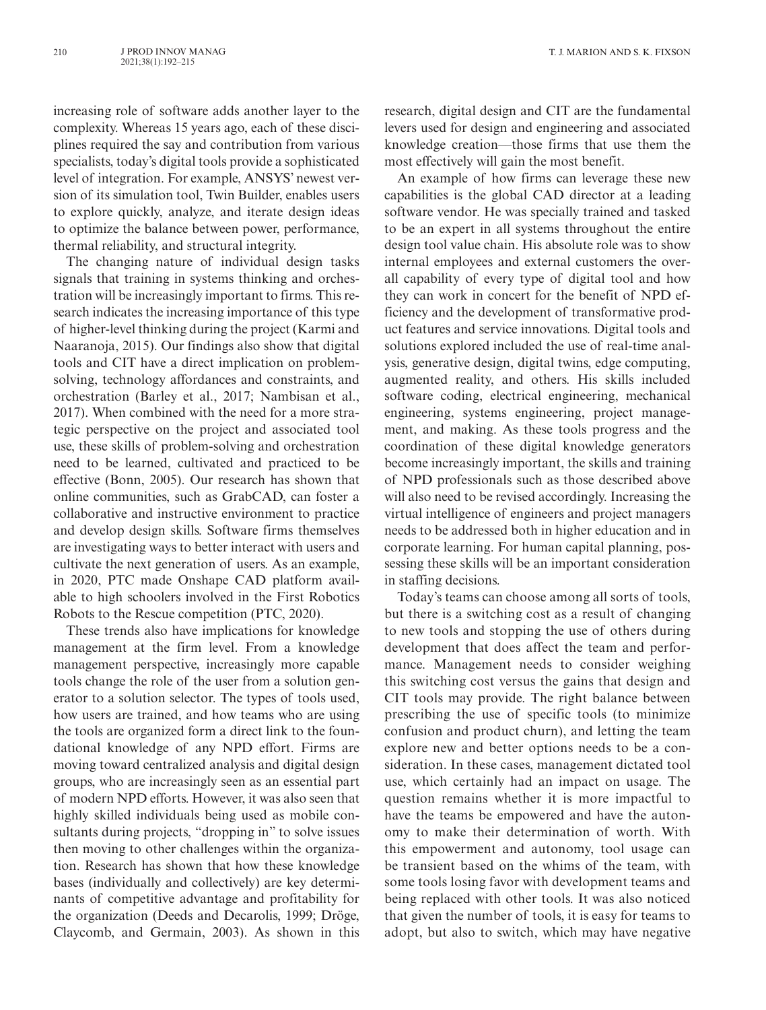increasing role of software adds another layer to the complexity. Whereas 15 years ago, each of these disciplines required the say and contribution from various specialists, today's digital tools provide a sophisticated level of integration. For example, ANSYS' newest version of its simulation tool, Twin Builder, enables users to explore quickly, analyze, and iterate design ideas to optimize the balance between power, performance, thermal reliability, and structural integrity.

The changing nature of individual design tasks signals that training in systems thinking and orchestration will be increasingly important to firms. This research indicates the increasing importance of this type of higher-level thinking during the project (Karmi and Naaranoja, 2015). Our findings also show that digital tools and CIT have a direct implication on problemsolving, technology affordances and constraints, and orchestration (Barley et al., 2017; Nambisan et al., 2017). When combined with the need for a more strategic perspective on the project and associated tool use, these skills of problem-solving and orchestration need to be learned, cultivated and practiced to be effective (Bonn, 2005). Our research has shown that online communities, such as GrabCAD, can foster a collaborative and instructive environment to practice and develop design skills. Software firms themselves are investigating ways to better interact with users and cultivate the next generation of users. As an example, in 2020, PTC made Onshape CAD platform available to high schoolers involved in the First Robotics Robots to the Rescue competition (PTC, 2020).

These trends also have implications for knowledge management at the firm level. From a knowledge management perspective, increasingly more capable tools change the role of the user from a solution generator to a solution selector. The types of tools used, how users are trained, and how teams who are using the tools are organized form a direct link to the foundational knowledge of any NPD effort. Firms are moving toward centralized analysis and digital design groups, who are increasingly seen as an essential part of modern NPD efforts. However, it was also seen that highly skilled individuals being used as mobile consultants during projects, "dropping in" to solve issues then moving to other challenges within the organization. Research has shown that how these knowledge bases (individually and collectively) are key determinants of competitive advantage and profitability for the organization (Deeds and Decarolis, 1999; Dröge, Claycomb, and Germain, 2003). As shown in this research, digital design and CIT are the fundamental levers used for design and engineering and associated knowledge creation––those firms that use them the most effectively will gain the most benefit.

An example of how firms can leverage these new capabilities is the global CAD director at a leading software vendor. He was specially trained and tasked to be an expert in all systems throughout the entire design tool value chain. His absolute role was to show internal employees and external customers the overall capability of every type of digital tool and how they can work in concert for the benefit of NPD efficiency and the development of transformative product features and service innovations. Digital tools and solutions explored included the use of real-time analysis, generative design, digital twins, edge computing, augmented reality, and others. His skills included software coding, electrical engineering, mechanical engineering, systems engineering, project management, and making. As these tools progress and the coordination of these digital knowledge generators become increasingly important, the skills and training of NPD professionals such as those described above will also need to be revised accordingly. Increasing the virtual intelligence of engineers and project managers needs to be addressed both in higher education and in corporate learning. For human capital planning, possessing these skills will be an important consideration in staffing decisions.

Today's teams can choose among all sorts of tools, but there is a switching cost as a result of changing to new tools and stopping the use of others during development that does affect the team and performance. Management needs to consider weighing this switching cost versus the gains that design and CIT tools may provide. The right balance between prescribing the use of specific tools (to minimize confusion and product churn), and letting the team explore new and better options needs to be a consideration. In these cases, management dictated tool use, which certainly had an impact on usage. The question remains whether it is more impactful to have the teams be empowered and have the autonomy to make their determination of worth. With this empowerment and autonomy, tool usage can be transient based on the whims of the team, with some tools losing favor with development teams and being replaced with other tools. It was also noticed that given the number of tools, it is easy for teams to adopt, but also to switch, which may have negative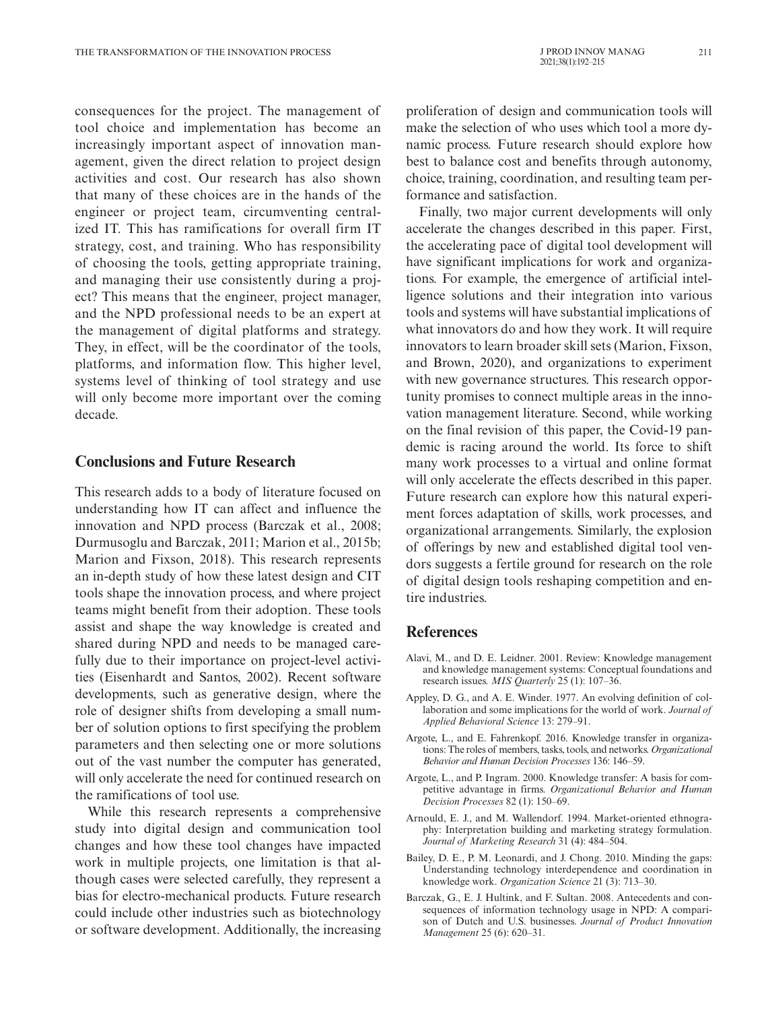consequences for the project. The management of tool choice and implementation has become an increasingly important aspect of innovation management, given the direct relation to project design activities and cost. Our research has also shown that many of these choices are in the hands of the engineer or project team, circumventing centralized IT. This has ramifications for overall firm IT strategy, cost, and training. Who has responsibility of choosing the tools, getting appropriate training, and managing their use consistently during a project? This means that the engineer, project manager, and the NPD professional needs to be an expert at the management of digital platforms and strategy. They, in effect, will be the coordinator of the tools, platforms, and information flow. This higher level, systems level of thinking of tool strategy and use will only become more important over the coming decade.

### **Conclusions and Future Research**

This research adds to a body of literature focused on understanding how IT can affect and influence the innovation and NPD process (Barczak et al., 2008; Durmusoglu and Barczak, 2011; Marion et al., 2015b; Marion and Fixson, 2018). This research represents an in-depth study of how these latest design and CIT tools shape the innovation process, and where project teams might benefit from their adoption. These tools assist and shape the way knowledge is created and shared during NPD and needs to be managed carefully due to their importance on project-level activities (Eisenhardt and Santos, 2002). Recent software developments, such as generative design, where the role of designer shifts from developing a small number of solution options to first specifying the problem parameters and then selecting one or more solutions out of the vast number the computer has generated, will only accelerate the need for continued research on the ramifications of tool use.

While this research represents a comprehensive study into digital design and communication tool changes and how these tool changes have impacted work in multiple projects, one limitation is that although cases were selected carefully, they represent a bias for electro-mechanical products. Future research could include other industries such as biotechnology or software development. Additionally, the increasing J PROD INNOV MANAG 2021;38(1):192–215

make the selection of who uses which tool a more dynamic process. Future research should explore how best to balance cost and benefits through autonomy, choice, training, coordination, and resulting team performance and satisfaction.

Finally, two major current developments will only accelerate the changes described in this paper. First, the accelerating pace of digital tool development will have significant implications for work and organizations. For example, the emergence of artificial intelligence solutions and their integration into various tools and systems will have substantial implications of what innovators do and how they work. It will require innovators to learn broader skill sets (Marion, Fixson, and Brown, 2020), and organizations to experiment with new governance structures. This research opportunity promises to connect multiple areas in the innovation management literature. Second, while working on the final revision of this paper, the Covid-19 pandemic is racing around the world. Its force to shift many work processes to a virtual and online format will only accelerate the effects described in this paper. Future research can explore how this natural experiment forces adaptation of skills, work processes, and organizational arrangements. Similarly, the explosion of offerings by new and established digital tool vendors suggests a fertile ground for research on the role of digital design tools reshaping competition and entire industries.

## **References**

- Alavi, M., and D. E. Leidner. 2001. Review: Knowledge management and knowledge management systems: Conceptual foundations and research issues. *MIS Quarterly* 25 (1): 107–36.
- Appley, D. G., and A. E. Winder. 1977. An evolving definition of collaboration and some implications for the world of work. *Journal of Applied Behavioral Science* 13: 279–91.
- Argote, L., and E. Fahrenkopf. 2016. Knowledge transfer in organizations: The roles of members, tasks, tools, and networks. *Organizational Behavior and Human Decision Processes* 136: 146–59.
- Argote, L., and P. Ingram. 2000. Knowledge transfer: A basis for competitive advantage in firms. *Organizational Behavior and Human Decision Processes* 82 (1): 150–69.
- Arnould, E. J., and M. Wallendorf. 1994. Market-oriented ethnography: Interpretation building and marketing strategy formulation. *Journal of Marketing Research* 31 (4): 484–504.
- Bailey, D. E., P. M. Leonardi, and J. Chong. 2010. Minding the gaps: Understanding technology interdependence and coordination in knowledge work. *Organization Science* 21 (3): 713–30.
- Barczak, G., E. J. Hultink, and F. Sultan. 2008. Antecedents and consequences of information technology usage in NPD: A comparison of Dutch and U.S. businesses. *Journal of Product Innovation Management* 25 (6): 620–31.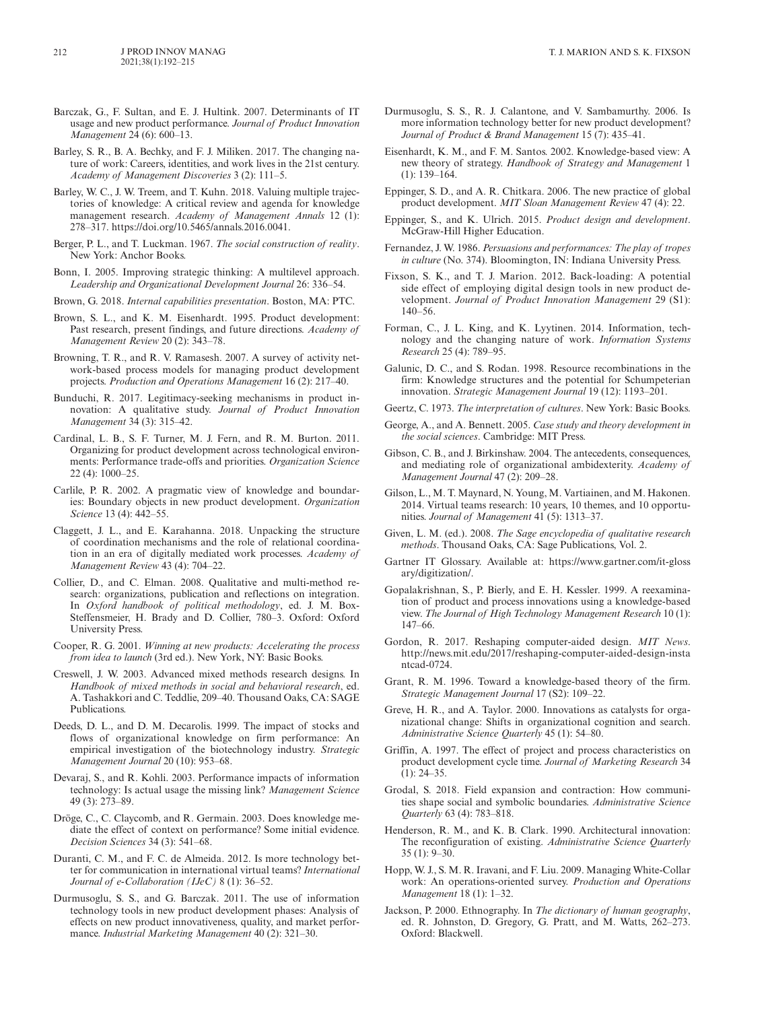- Barczak, G., F. Sultan, and E. J. Hultink. 2007. Determinants of IT usage and new product performance. *Journal of Product Innovation Management* 24 (6): 600-13.
- Barley, S. R., B. A. Bechky, and F. J. Miliken. 2017. The changing nature of work: Careers, identities, and work lives in the 21st century. *Academy of Management Discoveries* 3 (2): 111–5.
- Barley, W. C., J. W. Treem, and T. Kuhn. 2018. Valuing multiple trajectories of knowledge: A critical review and agenda for knowledge management research. *Academy of Management Annals* 12 (1): 278–317. <https://doi.org/10.5465/annals.2016.0041>.
- Berger, P. L., and T. Luckman. 1967. *The social construction of reality*. New York: Anchor Books.
- Bonn, I. 2005. Improving strategic thinking: A multilevel approach. *Leadership and Organizational Development Journal* 26: 336–54.
- Brown, G. 2018. *Internal capabilities presentation*. Boston, MA: PTC.
- Brown, S. L., and K. M. Eisenhardt. 1995. Product development: Past research, present findings, and future directions. *Academy of Management Review* 20 (2): 343–78.
- Browning, T. R., and R. V. Ramasesh. 2007. A survey of activity network-based process models for managing product development projects. *Production and Operations Management* 16 (2): 217–40.
- Bunduchi, R. 2017. Legitimacy-seeking mechanisms in product innovation: A qualitative study. *Journal of Product Innovation Management* 34 (3): 315–42.
- Cardinal, L. B., S. F. Turner, M. J. Fern, and R. M. Burton. 2011. Organizing for product development across technological environments: Performance trade-offs and priorities. *Organization Science* 22 (4): 1000–25.
- Carlile, P. R. 2002. A pragmatic view of knowledge and boundaries: Boundary objects in new product development. *Organization Science* 13 (4): 442–55.
- Claggett, J. L., and E. Karahanna. 2018. Unpacking the structure of coordination mechanisms and the role of relational coordination in an era of digitally mediated work processes. *Academy of Management Review* 43 (4): 704–22.
- Collier, D., and C. Elman. 2008. Qualitative and multi-method research: organizations, publication and reflections on integration. In *Oxford handbook of political methodology*, ed. J. M. Box-Steffensmeier, H. Brady and D. Collier, 780–3. Oxford: Oxford University Press.
- Cooper, R. G. 2001. *Winning at new products: Accelerating the process from idea to launch* (3rd ed.). New York, NY: Basic Books.
- Creswell, J. W. 2003. Advanced mixed methods research designs. In *Handbook of mixed methods in social and behavioral research*, ed. A. Tashakkori and C. Teddlie, 209–40. Thousand Oaks, CA: SAGE Publications.
- Deeds, D. L., and D. M. Decarolis. 1999. The impact of stocks and flows of organizational knowledge on firm performance: An empirical investigation of the biotechnology industry. *Strategic Management Journal* 20 (10): 953–68.
- Devaraj, S., and R. Kohli. 2003. Performance impacts of information technology: Is actual usage the missing link? *Management Science* 49 (3): 273–89.
- Dröge, C., C. Claycomb, and R. Germain. 2003. Does knowledge mediate the effect of context on performance? Some initial evidence. *Decision Sciences* 34 (3): 541–68.
- Duranti, C. M., and F. C. de Almeida. 2012. Is more technology better for communication in international virtual teams? *International Journal of e-Collaboration (IJeC)* 8 (1): 36–52.
- Durmusoglu, S. S., and G. Barczak. 2011. The use of information technology tools in new product development phases: Analysis of effects on new product innovativeness, quality, and market performance. *Industrial Marketing Management* 40 (2): 321–30.
- Durmusoglu, S. S., R. J. Calantone, and V. Sambamurthy. 2006. Is more information technology better for new product development? *Journal of Product & Brand Management* 15 (7): 435–41.
- Eisenhardt, K. M., and F. M. Santos. 2002. Knowledge-based view: A new theory of strategy. *Handbook of Strategy and Management* 1 (1): 139–164.
- Eppinger, S. D., and A. R. Chitkara. 2006. The new practice of global product development. *MIT Sloan Management Review* 47 (4): 22.
- Eppinger, S., and K. Ulrich. 2015. *Product design and development*. McGraw-Hill Higher Education.
- Fernandez, J. W. 1986. *Persuasions and performances: The play of tropes in culture* (No. 374). Bloomington, IN: Indiana University Press.
- Fixson, S. K., and T. J. Marion. 2012. Back-loading: A potential side effect of employing digital design tools in new product development. *Journal of Product Innovation Management* 29 (S1): 140–56.
- Forman, C., J. L. King, and K. Lyytinen. 2014. Information, technology and the changing nature of work. *Information Systems Research* 25 (4): 789–95.
- Galunic, D. C., and S. Rodan. 1998. Resource recombinations in the firm: Knowledge structures and the potential for Schumpeterian innovation. *Strategic Management Journal* 19 (12): 1193–201.
- Geertz, C. 1973. *The interpretation of cultures*. New York: Basic Books.
- George, A., and A. Bennett. 2005. *Case study and theory development in the social sciences*. Cambridge: MIT Press.
- Gibson, C. B., and J. Birkinshaw. 2004. The antecedents, consequences, and mediating role of organizational ambidexterity. *Academy of Management Journal* 47 (2): 209–28.
- Gilson, L., M. T. Maynard, N. Young, M. Vartiainen, and M. Hakonen. 2014. Virtual teams research: 10 years, 10 themes, and 10 opportunities. *Journal of Management* 41 (5): 1313–37.
- Given, L. M. (ed.). 2008. *The Sage encyclopedia of qualitative research methods*. Thousand Oaks, CA: Sage Publications, Vol. 2.
- Gartner IT Glossary. Available at: [https://www.gartner.com/it-gloss](https://www.gartner.com/it-glossary/digitization/) [ary/digitization/](https://www.gartner.com/it-glossary/digitization/).
- Gopalakrishnan, S., P. Bierly, and E. H. Kessler. 1999. A reexamination of product and process innovations using a knowledge-based view. *The Journal of High Technology Management Research* 10 (1): 147–66.
- Gordon, R. 2017. Reshaping computer-aided design. *MIT News*. [http://news.mit.edu/2017/reshaping-computer-aided-design-insta](http://news.mit.edu/2017/reshaping-computer-aided-design-instantcad-0724) [ntcad-0724.](http://news.mit.edu/2017/reshaping-computer-aided-design-instantcad-0724)
- Grant, R. M. 1996. Toward a knowledge-based theory of the firm. *Strategic Management Journal* 17 (S2): 109–22.
- Greve, H. R., and A. Taylor. 2000. Innovations as catalysts for organizational change: Shifts in organizational cognition and search. *Administrative Science Quarterly* 45 (1): 54–80.
- Griffin, A. 1997. The effect of project and process characteristics on product development cycle time. *Journal of Marketing Research* 34  $(1): 24-35.$
- Grodal, S. 2018. Field expansion and contraction: How communities shape social and symbolic boundaries. *Administrative Science Quarterly* 63 (4): 783–818.
- Henderson, R. M., and K. B. Clark. 1990. Architectural innovation: The reconfiguration of existing. *Administrative Science Quarterly* 35 (1): 9–30.
- Hopp, W. J., S. M. R. Iravani, and F. Liu. 2009. Managing White-Collar work: An operations-oriented survey. *Production and Operations Management* 18 (1): 1–32.
- Jackson, P. 2000. Ethnography. In *The dictionary of human geography*, ed. R. Johnston, D. Gregory, G. Pratt, and M. Watts, 262–273. Oxford: Blackwell.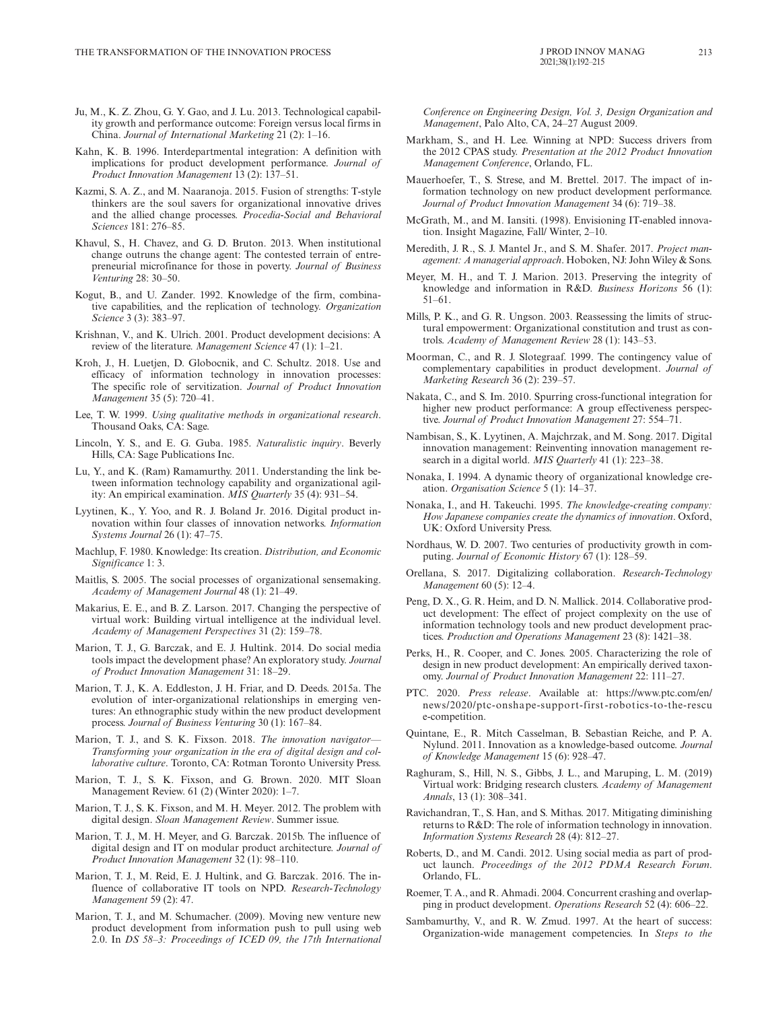- Ju, M., K. Z. Zhou, G. Y. Gao, and J. Lu. 2013. Technological capability growth and performance outcome: Foreign versus local firms in China. *Journal of International Marketing* 21 (2): 1–16.
- Kahn, K. B. 1996. Interdepartmental integration: A definition with implications for product development performance. *Journal of Product Innovation Management* 13 (2): 137–51.
- Kazmi, S. A. Z., and M. Naaranoja. 2015. Fusion of strengths: T-style thinkers are the soul savers for organizational innovative drives and the allied change processes. *Procedia-Social and Behavioral Sciences* 181: 276–85.
- Khavul, S., H. Chavez, and G. D. Bruton. 2013. When institutional change outruns the change agent: The contested terrain of entrepreneurial microfinance for those in poverty. *Journal of Business Venturing* 28: 30–50.
- Kogut, B., and U. Zander. 1992. Knowledge of the firm, combinative capabilities, and the replication of technology. *Organization Science* 3 (3): 383–97.
- Krishnan, V., and K. Ulrich. 2001. Product development decisions: A review of the literature. *Management Science* 47 (1): 1–21.
- Kroh, J., H. Luetjen, D. Globocnik, and C. Schultz. 2018. Use and efficacy of information technology in innovation processes: The specific role of servitization. *Journal of Product Innovation Management* 35 (5): 720–41.
- Lee, T. W. 1999. *Using qualitative methods in organizational research*. Thousand Oaks, CA: Sage.
- Lincoln, Y. S., and E. G. Guba. 1985. *Naturalistic inquiry*. Beverly Hills, CA: Sage Publications Inc.
- Lu, Y., and K. (Ram) Ramamurthy. 2011. Understanding the link between information technology capability and organizational agility: An empirical examination. *MIS Quarterly* 35 (4): 931–54.
- Lyytinen, K., Y. Yoo, and R. J. Boland Jr. 2016. Digital product innovation within four classes of innovation networks. *Information Systems Journal* 26 (1): 47–75.
- Machlup, F. 1980. Knowledge: Its creation. *Distribution, and Economic Significance* 1: 3.
- Maitlis, S. 2005. The social processes of organizational sensemaking. *Academy of Management Journal* 48 (1): 21–49.
- Makarius, E. E., and B. Z. Larson. 2017. Changing the perspective of virtual work: Building virtual intelligence at the individual level. *Academy of Management Perspectives* 31 (2): 159–78.
- Marion, T. J., G. Barczak, and E. J. Hultink. 2014. Do social media tools impact the development phase? An exploratory study. *Journal of Product Innovation Management* 31: 18–29.
- Marion, T. J., K. A. Eddleston, J. H. Friar, and D. Deeds. 2015a. The evolution of inter-organizational relationships in emerging ventures: An ethnographic study within the new product development process. *Journal of Business Venturing* 30 (1): 167–84.
- Marion, T. J., and S. K. Fixson. 2018. *The innovation navigator— Transforming your organization in the era of digital design and collaborative culture*. Toronto, CA: Rotman Toronto University Press.
- Marion, T. J., S. K. Fixson, and G. Brown. 2020. MIT Sloan Management Review. 61 (2) (Winter 2020): 1–7.
- Marion, T. J., S. K. Fixson, and M. H. Meyer. 2012. The problem with digital design. *Sloan Management Review*. Summer issue.
- Marion, T. J., M. H. Meyer, and G. Barczak. 2015b. The influence of digital design and IT on modular product architecture. *Journal of Product Innovation Management* 32 (1): 98–110.
- Marion, T. J., M. Reid, E. J. Hultink, and G. Barczak. 2016. The influence of collaborative IT tools on NPD. *Research-Technology Management* 59 (2): 47.
- Marion, T. J., and M. Schumacher. (2009). Moving new venture new product development from information push to pull using web 2.0. In *DS 58–3: Proceedings of ICED 09, the 17th International*

*Conference on Engineering Design, Vol. 3, Design Organization and Management*, Palo Alto, CA, 24–27 August 2009.

- Markham, S., and H. Lee. Winning at NPD: Success drivers from the 2012 CPAS study. *Presentation at the 2012 Product Innovation Management Conference*, Orlando, FL.
- Mauerhoefer, T., S. Strese, and M. Brettel. 2017. The impact of information technology on new product development performance. *Journal of Product Innovation Management* 34 (6): 719–38.
- McGrath, M., and M. Iansiti. (1998). Envisioning IT-enabled innovation. Insight Magazine, Fall/ Winter, 2–10.
- Meredith, J. R., S. J. Mantel Jr., and S. M. Shafer. 2017. *Project management: A managerial approach*. Hoboken, NJ: John Wiley & Sons.
- Meyer, M. H., and T. J. Marion. 2013. Preserving the integrity of knowledge and information in R&D. *Business Horizons* 56 (1): 51–61.
- Mills, P. K., and G. R. Ungson. 2003. Reassessing the limits of structural empowerment: Organizational constitution and trust as controls. *Academy of Management Review* 28 (1): 143–53.
- Moorman, C., and R. J. Slotegraaf. 1999. The contingency value of complementary capabilities in product development. *Journal of Marketing Research* 36 (2): 239–57.
- Nakata, C., and S. Im. 2010. Spurring cross-functional integration for higher new product performance: A group effectiveness perspective. *Journal of Product Innovation Management* 27: 554–71.
- Nambisan, S., K. Lyytinen, A. Majchrzak, and M. Song. 2017. Digital innovation management: Reinventing innovation management research in a digital world. *MIS Quarterly* 41 (1): 223–38.
- Nonaka, I. 1994. A dynamic theory of organizational knowledge creation. *Organisation Science* 5 (1): 14–37.
- Nonaka, I., and H. Takeuchi. 1995. *The knowledge-creating company: How Japanese companies create the dynamics of innovation*. Oxford, UK: Oxford University Press.
- Nordhaus, W. D. 2007. Two centuries of productivity growth in computing. *Journal of Economic History* 67 (1): 128–59.
- Orellana, S. 2017. Digitalizing collaboration. *Research-Technology Management* 60 (5): 12–4.
- Peng, D. X., G. R. Heim, and D. N. Mallick. 2014. Collaborative product development: The effect of project complexity on the use of information technology tools and new product development practices. *Production and Operations Management* 23 (8): 1421–38.
- Perks, H., R. Cooper, and C. Jones. 2005. Characterizing the role of design in new product development: An empirically derived taxonomy. *Journal of Product Innovation Management* 22: 111–27.
- PTC. 2020. *Press release*. Available at: [https://www.ptc.com/en/](https://www.ptc.com/en/news/2020/ptc-onshape-support-first-robotics-to-the-rescue-competition) [news/2020/ptc-onshape-support-first-robotics-to-the-rescu](https://www.ptc.com/en/news/2020/ptc-onshape-support-first-robotics-to-the-rescue-competition) [e-competition](https://www.ptc.com/en/news/2020/ptc-onshape-support-first-robotics-to-the-rescue-competition).
- Quintane, E., R. Mitch Casselman, B. Sebastian Reiche, and P. A. Nylund. 2011. Innovation as a knowledge-based outcome. *Journal of Knowledge Management* 15 (6): 928–47.
- Raghuram, S., Hill, N. S., Gibbs, J. L., and Maruping, L. M. (2019) Virtual work: Bridging research clusters. *Academy of Management Annals*, 13 (1): 308–341.
- Ravichandran, T., S. Han, and S. Mithas. 2017. Mitigating diminishing returns to R&D: The role of information technology in innovation. *Information Systems Research* 28 (4): 812–27.
- Roberts, D., and M. Candi. 2012. Using social media as part of product launch. *Proceedings of the 2012 PDMA Research Forum*. Orlando, FL.
- Roemer, T. A., and R. Ahmadi. 2004. Concurrent crashing and overlapping in product development. *Operations Research* 52 (4): 606–22.
- Sambamurthy, V., and R. W. Zmud. 1997. At the heart of success: Organization-wide management competencies. In *Steps to the*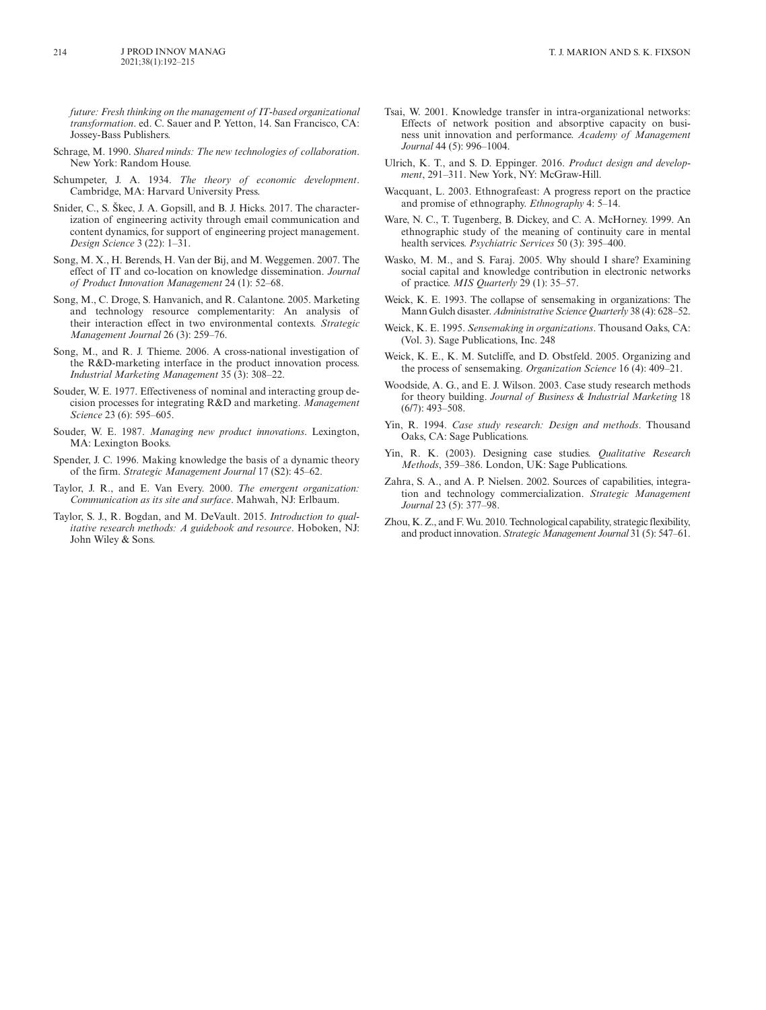*future: Fresh thinking on the management of IT-based organizational transformation*. ed. C. Sauer and P. Yetton, 14. San Francisco, CA: Jossey-Bass Publishers.

- Schrage, M. 1990. *Shared minds: The new technologies of collaboration*. New York: Random House.
- Schumpeter, J. A. 1934. *The theory of economic development*. Cambridge, MA: Harvard University Press.
- Snider, C., S. Škec, J. A. Gopsill, and B. J. Hicks. 2017. The characterization of engineering activity through email communication and content dynamics, for support of engineering project management. *Design Science* 3 (22): 1–31.
- Song, M. X., H. Berends, H. Van der Bij, and M. Weggemen. 2007. The effect of IT and co-location on knowledge dissemination. *Journal of Product Innovation Management* 24 (1): 52–68.
- Song, M., C. Droge, S. Hanvanich, and R. Calantone. 2005. Marketing and technology resource complementarity: An analysis of their interaction effect in two environmental contexts. *Strategic Management Journal* 26 (3): 259–76.
- Song, M., and R. J. Thieme. 2006. A cross-national investigation of the R&D-marketing interface in the product innovation process. *Industrial Marketing Management* 35 (3): 308–22.
- Souder, W. E. 1977. Effectiveness of nominal and interacting group decision processes for integrating R&D and marketing. *Management Science* 23 (6): 595–605.
- Souder, W. E. 1987. *Managing new product innovations*. Lexington, MA: Lexington Books.
- Spender, J. C. 1996. Making knowledge the basis of a dynamic theory of the firm. *Strategic Management Journal* 17 (S2): 45–62.
- Taylor, J. R., and E. Van Every. 2000. *The emergent organization: Communication as its site and surface*. Mahwah, NJ: Erlbaum.
- Taylor, S. J., R. Bogdan, and M. DeVault. 2015. *Introduction to qualitative research methods: A guidebook and resource*. Hoboken, NJ: John Wiley & Sons.
- Tsai, W. 2001. Knowledge transfer in intra-organizational networks: Effects of network position and absorptive capacity on business unit innovation and performance. *Academy of Management Journal* 44 (5): 996–1004.
- Ulrich, K. T., and S. D. Eppinger. 2016. *Product design and development*, 291–311. New York, NY: McGraw-Hill.
- Wacquant, L. 2003. Ethnografeast: A progress report on the practice and promise of ethnography. *Ethnography* 4: 5–14.
- Ware, N. C., T. Tugenberg, B. Dickey, and C. A. McHorney. 1999. An ethnographic study of the meaning of continuity care in mental health services. *Psychiatric Services* 50 (3): 395–400.
- Wasko, M. M., and S. Faraj. 2005. Why should I share? Examining social capital and knowledge contribution in electronic networks of practice. *MIS Quarterly* 29 (1): 35–57.
- Weick, K. E. 1993. The collapse of sensemaking in organizations: The Mann Gulch disaster. *Administrative Science Quarterly* 38 (4): 628–52.
- Weick, K. E. 1995. *Sensemaking in organizations*. Thousand Oaks, CA: (Vol. 3). Sage Publications, Inc. 248
- Weick, K. E., K. M. Sutcliffe, and D. Obstfeld. 2005. Organizing and the process of sensemaking. *Organization Science* 16 (4): 409–21.
- Woodside, A. G., and E. J. Wilson. 2003. Case study research methods for theory building. *Journal of Business & Industrial Marketing* 18 (6/7): 493–508.
- Yin, R. 1994. *Case study research: Design and methods*. Thousand Oaks, CA: Sage Publications.
- Yin, R. K. (2003). Designing case studies. *Qualitative Research Methods*, 359–386. London, UK: Sage Publications.
- Zahra, S. A., and A. P. Nielsen. 2002. Sources of capabilities, integration and technology commercialization. *Strategic Management Journal* 23 (5): 377–98.
- Zhou, K. Z., and F. Wu. 2010. Technological capability, strategic flexibility, and product innovation. *Strategic Management Journal* 31 (5): 547–61.